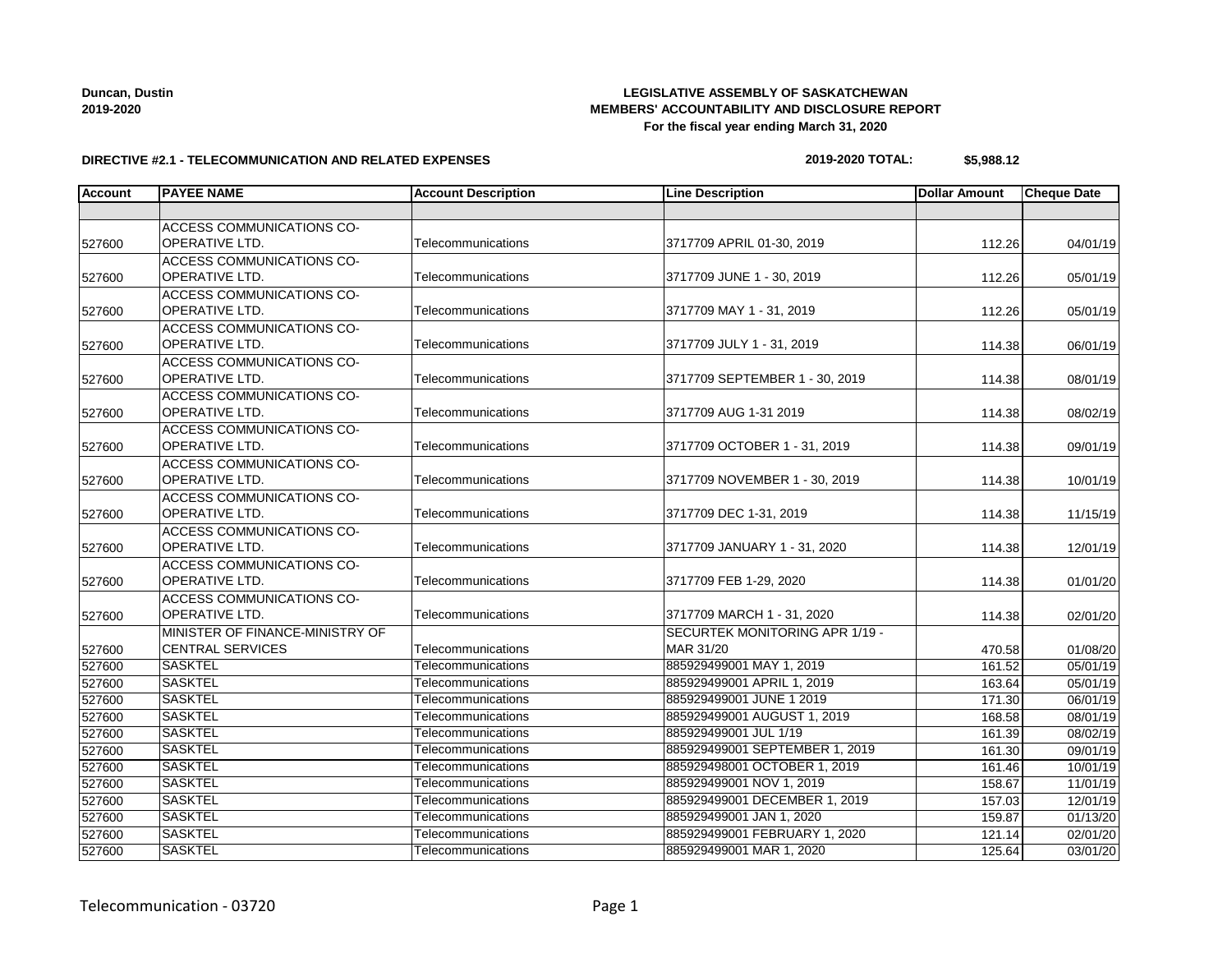## Telecommunication - 03720 Page 1

### **LEGISLATIVE ASSEMBLY OF SASKATCHEWAN MEMBERS' ACCOUNTABILITY AND DISCLOSURE REPORT For the fiscal year ending March 31, 2020**

### **DIRECTIVE #2.1 - TELECOMMUNICATION AND RELATED EXPENSES**

| 2019-2020 TOTAL: | \$5,988.12 |
|------------------|------------|
|------------------|------------|

|        |                                  | <b>Account Description</b> | <b>Line Description</b>               | <b>Dollar Amount</b> | <b>Cheque Date</b> |
|--------|----------------------------------|----------------------------|---------------------------------------|----------------------|--------------------|
|        |                                  |                            |                                       |                      |                    |
|        | <b>ACCESS COMMUNICATIONS CO-</b> |                            |                                       |                      |                    |
| 527600 | OPERATIVE LTD.                   | Telecommunications         | 3717709 APRIL 01-30, 2019             | 112.26               | 04/01/19           |
|        | ACCESS COMMUNICATIONS CO-        |                            |                                       |                      |                    |
| 527600 | <b>OPERATIVE LTD.</b>            | Telecommunications         | 3717709 JUNE 1 - 30, 2019             | 112.26               | 05/01/19           |
|        | <b>ACCESS COMMUNICATIONS CO-</b> |                            |                                       |                      |                    |
| 527600 | OPERATIVE LTD.                   | Telecommunications         | 3717709 MAY 1 - 31, 2019              | 112.26               | 05/01/19           |
|        | <b>ACCESS COMMUNICATIONS CO-</b> |                            |                                       |                      |                    |
| 527600 | OPERATIVE LTD.                   | Telecommunications         | 3717709 JULY 1 - 31, 2019             | 114.38               | 06/01/19           |
|        | ACCESS COMMUNICATIONS CO-        |                            |                                       |                      |                    |
| 527600 | <b>OPERATIVE LTD.</b>            | Telecommunications         | 3717709 SEPTEMBER 1 - 30, 2019        | 114.38               | 08/01/19           |
|        | <b>ACCESS COMMUNICATIONS CO-</b> |                            |                                       |                      |                    |
| 527600 | OPERATIVE LTD.                   | Telecommunications         | 3717709 AUG 1-31 2019                 | 114.38               | 08/02/19           |
|        | ACCESS COMMUNICATIONS CO-        |                            |                                       |                      |                    |
| 527600 | OPERATIVE LTD.                   | Telecommunications         | 3717709 OCTOBER 1 - 31, 2019          | 114.38               | 09/01/19           |
|        | ACCESS COMMUNICATIONS CO-        |                            |                                       |                      |                    |
| 527600 | <b>OPERATIVE LTD.</b>            | Telecommunications         | 3717709 NOVEMBER 1 - 30, 2019         | 114.38               | 10/01/19           |
|        | <b>ACCESS COMMUNICATIONS CO-</b> |                            |                                       |                      |                    |
| 527600 | <b>OPERATIVE LTD.</b>            | Telecommunications         | 3717709 DEC 1-31, 2019                | 114.38               | 11/15/19           |
|        | ACCESS COMMUNICATIONS CO-        |                            |                                       |                      |                    |
| 527600 | OPERATIVE LTD.                   | Telecommunications         | 3717709 JANUARY 1 - 31, 2020          | 114.38               | 12/01/19           |
|        | <b>ACCESS COMMUNICATIONS CO-</b> |                            |                                       |                      |                    |
| 527600 | OPERATIVE LTD.                   | Telecommunications         | 3717709 FEB 1-29, 2020                | 114.38               | 01/01/20           |
|        | ACCESS COMMUNICATIONS CO-        |                            |                                       |                      |                    |
| 527600 | OPERATIVE LTD.                   | Telecommunications         | 3717709 MARCH 1 - 31, 2020            | 114.38               | 02/01/20           |
|        | MINISTER OF FINANCE-MINISTRY OF  |                            | <b>SECURTEK MONITORING APR 1/19 -</b> |                      |                    |
| 527600 | <b>CENTRAL SERVICES</b>          | Telecommunications         | MAR 31/20                             | 470.58               | 01/08/20           |
| 527600 | <b>SASKTEL</b>                   | Telecommunications         | 885929499001 MAY 1, 2019              | 161.52               | 05/01/19           |
| 527600 | <b>SASKTEL</b>                   | Telecommunications         | 885929499001 APRIL 1, 2019            | 163.64               | 05/01/19           |
| 527600 | <b>SASKTEL</b>                   | Telecommunications         | 885929499001 JUNE 1 2019              | 171.30               | 06/01/19           |
| 527600 | <b>SASKTEL</b>                   | Telecommunications         | 885929499001 AUGUST 1, 2019           | 168.58               | 08/01/19           |
| 527600 | <b>SASKTEL</b>                   | Telecommunications         | 885929499001 JUL 1/19                 | 161.39               | 08/02/19           |
| 527600 | <b>SASKTEL</b>                   | Telecommunications         | 885929499001 SEPTEMBER 1, 2019        | 161.30               | 09/01/19           |
| 527600 | <b>SASKTEL</b>                   | Telecommunications         | 885929498001 OCTOBER 1, 2019          | 161.46               | 10/01/19           |
| 527600 | <b>SASKTEL</b>                   | Telecommunications         | 885929499001 NOV 1, 2019              | 158.67               | 11/01/19           |
| 527600 | <b>SASKTEL</b>                   | Telecommunications         | 885929499001 DECEMBER 1, 2019         | 157.03               | 12/01/19           |
| 527600 | <b>SASKTEL</b>                   | Telecommunications         | 885929499001 JAN 1, 2020              | 159.87               | 01/13/20           |
| 527600 | <b>SASKTEL</b>                   | Telecommunications         | 885929499001 FEBRUARY 1, 2020         | 121.14               | 02/01/20           |
| 527600 | <b>SASKTEL</b>                   | Telecommunications         | 885929499001 MAR 1, 2020              | 125.64               | 03/01/20           |

**Duncan, Dustin 2019-2020**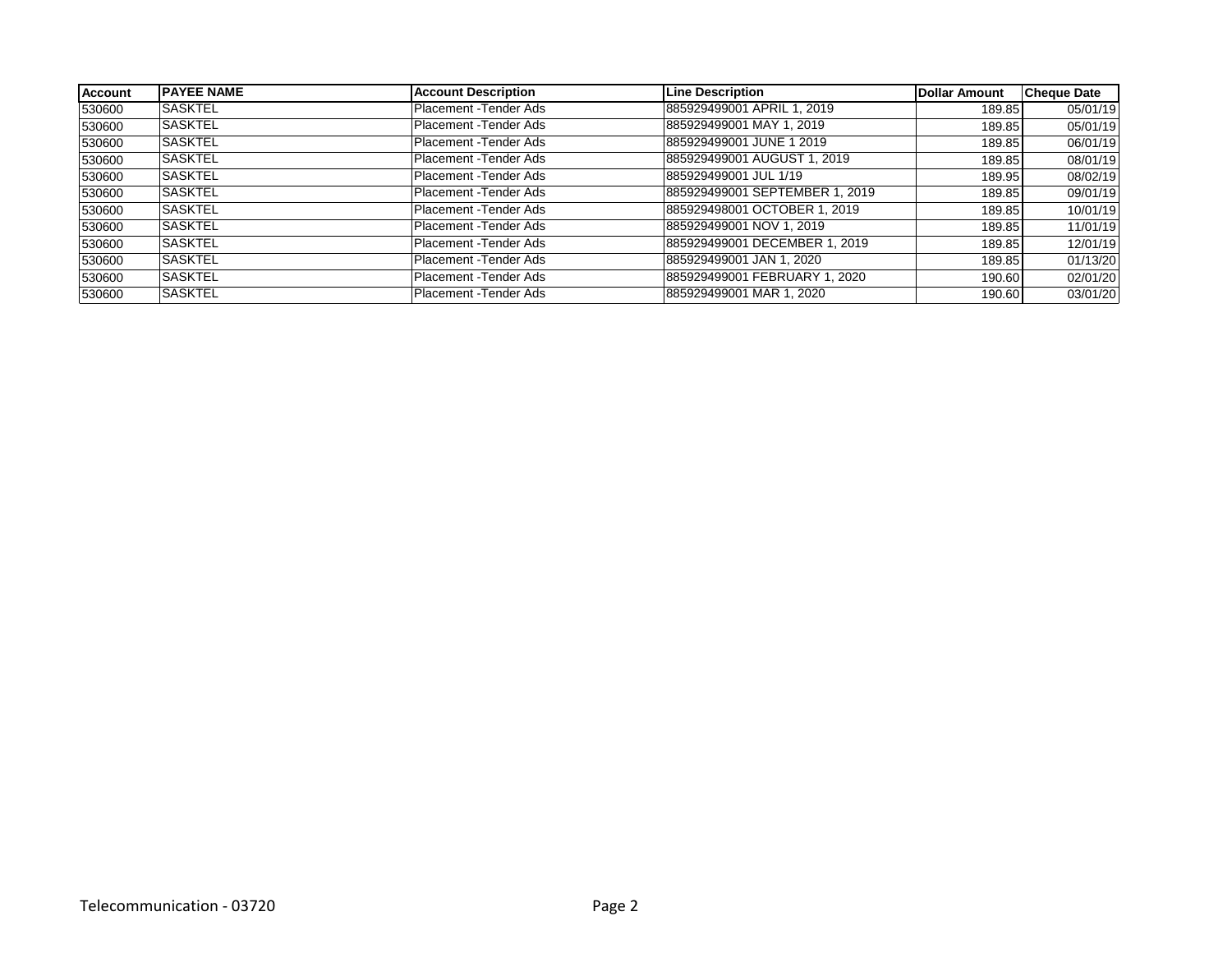| <b>Account</b> | <b>IPAYEE NAME</b> | <b>Account Description</b> | <b>Line Description</b>        | Dollar Amount | <b>Cheque Date</b> |
|----------------|--------------------|----------------------------|--------------------------------|---------------|--------------------|
| 530600         | <b>SASKTEL</b>     | Placement - Tender Ads     | 885929499001 APRIL 1, 2019     | 189.85        | 05/01/19           |
| 530600         | <b>SASKTEL</b>     | Placement - Tender Ads     | 885929499001 MAY 1, 2019       | 189.85        | 05/01/19           |
| 530600         | <b>ISASKTEL</b>    | Placement - Tender Ads     | 885929499001 JUNE 1 2019       | 189.85        | 06/01/19           |
| 530600         | <b>SASKTEL</b>     | Placement -Tender Ads      | 885929499001 AUGUST 1, 2019    | 189.85        | 08/01/19           |
| 530600         | <b>SASKTEL</b>     | Placement - Tender Ads     | 885929499001 JUL 1/19          | 189.95        | 08/02/19           |
| 530600         | <b>SASKTEL</b>     | Placement - Tender Ads     | 885929499001 SEPTEMBER 1, 2019 | 189.85        | 09/01/19           |
| 530600         | <b>SASKTEL</b>     | Placement - Tender Ads     | 885929498001 OCTOBER 1, 2019   | 189.85        | 10/01/19           |
| 530600         | <b>SASKTEL</b>     | Placement - Tender Ads     | 885929499001 NOV 1, 2019       | 189.85        | 11/01/19           |
| 530600         | <b>SASKTEL</b>     | Placement - Tender Ads     | 885929499001 DECEMBER 1, 2019  | 189.85        | 12/01/19           |
| 530600         | <b>SASKTEL</b>     | Placement - Tender Ads     | 885929499001 JAN 1, 2020       | 189.85        | 01/13/20           |
| 530600         | <b>SASKTEL</b>     | Placement - Tender Ads     | 885929499001 FEBRUARY 1, 2020  | 190.60        | 02/01/20           |
| 530600         | ISASKTEL           | Placement - Tender Ads     | 885929499001 MAR 1, 2020       | 190.60        | 03/01/20           |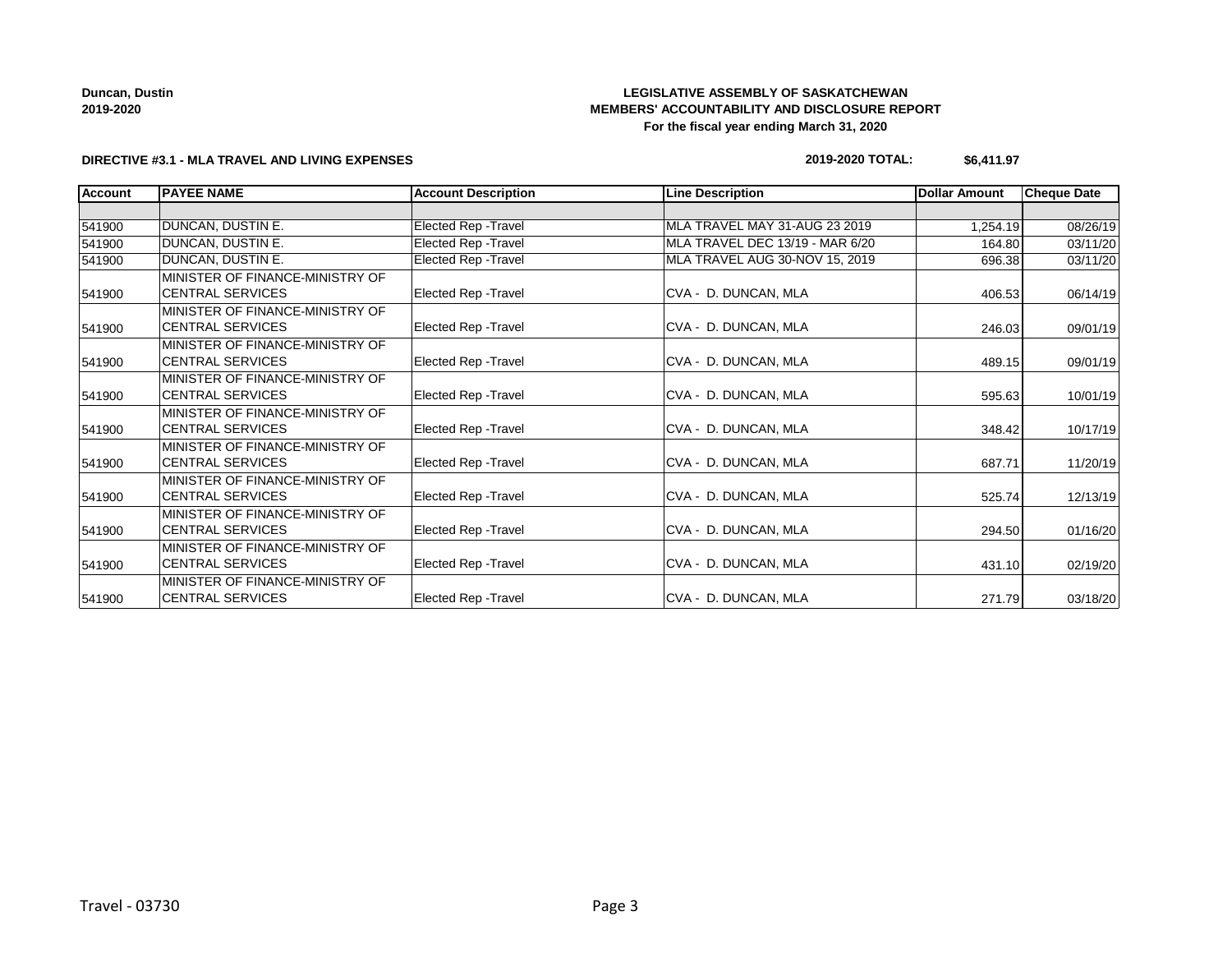**Duncan, Dustin 2019-2020**

### **LEGISLATIVE ASSEMBLY OF SASKATCHEWAN MEMBERS' ACCOUNTABILITY AND DISCLOSURE REPORT For the fiscal year ending March 31, 2020**

### **DIRECTIVE #3.1 - MLA TRAVEL AND LIVING EXPENSES**

### **2019-2020 TOTAL: \$6,411.97**

| <b>Account</b> | <b>PAYEE NAME</b>               | <b>Account Description</b>  | <b>Line Description</b>         | <b>Dollar Amount</b> | <b>Cheque Date</b> |
|----------------|---------------------------------|-----------------------------|---------------------------------|----------------------|--------------------|
|                |                                 |                             |                                 |                      |                    |
| 541900         | <b>DUNCAN, DUSTIN E.</b>        | Elected Rep - Travel        | MLA TRAVEL MAY 31-AUG 23 2019   | 1,254.19             | 08/26/19           |
| 541900         | DUNCAN, DUSTIN E.               | Elected Rep - Travel        | MLA TRAVEL DEC 13/19 - MAR 6/20 | 164.80               | 03/11/20           |
| 541900         | DUNCAN, DUSTIN E.               | Elected Rep - Travel        | MLA TRAVEL AUG 30-NOV 15, 2019  | 696.38               | 03/11/20           |
|                | MINISTER OF FINANCE-MINISTRY OF |                             |                                 |                      |                    |
| 541900         | <b>CENTRAL SERVICES</b>         | <b>Elected Rep - Travel</b> | CVA - D. DUNCAN, MLA            | 406.53               | 06/14/19           |
|                | MINISTER OF FINANCE-MINISTRY OF |                             |                                 |                      |                    |
| 541900         | ICENTRAL SERVICES               | <b>Elected Rep - Travel</b> | CVA - D. DUNCAN, MLA            | 246.03               | 09/01/19           |
|                | MINISTER OF FINANCE-MINISTRY OF |                             |                                 |                      |                    |
| 541900         | <b>CENTRAL SERVICES</b>         | <b>Elected Rep - Travel</b> | CVA - D. DUNCAN, MLA            | 489.15               | 09/01/19           |
|                | MINISTER OF FINANCE-MINISTRY OF |                             |                                 |                      |                    |
| 541900         | <b>CENTRAL SERVICES</b>         | <b>Elected Rep - Travel</b> | CVA - D. DUNCAN, MLA            | 595.63               | 10/01/19           |
|                | MINISTER OF FINANCE-MINISTRY OF |                             |                                 |                      |                    |
| 541900         | <b>CENTRAL SERVICES</b>         | <b>Elected Rep - Travel</b> | CVA - D. DUNCAN, MLA            | 348.42               | 10/17/19           |
|                | MINISTER OF FINANCE-MINISTRY OF |                             |                                 |                      |                    |
| 541900         | <b>CENTRAL SERVICES</b>         | <b>Elected Rep - Travel</b> | CVA - D. DUNCAN, MLA            | 687.71               | 11/20/19           |
|                | MINISTER OF FINANCE-MINISTRY OF |                             |                                 |                      |                    |
| 541900         | <b>CENTRAL SERVICES</b>         | <b>Elected Rep - Travel</b> | CVA - D. DUNCAN, MLA            | 525.74               | 12/13/19           |
|                | MINISTER OF FINANCE-MINISTRY OF |                             |                                 |                      |                    |
| 541900         | <b>CENTRAL SERVICES</b>         | <b>Elected Rep - Travel</b> | CVA - D. DUNCAN, MLA            | 294.50               | 01/16/20           |
|                | MINISTER OF FINANCE-MINISTRY OF |                             |                                 |                      |                    |
| 541900         | <b>CENTRAL SERVICES</b>         | <b>Elected Rep - Travel</b> | CVA - D. DUNCAN, MLA            | 431.10               | 02/19/20           |
|                | MINISTER OF FINANCE-MINISTRY OF |                             |                                 |                      |                    |
| 541900         | <b>CENTRAL SERVICES</b>         | <b>Elected Rep - Travel</b> | CVA - D. DUNCAN, MLA            | 271.79               | 03/18/20           |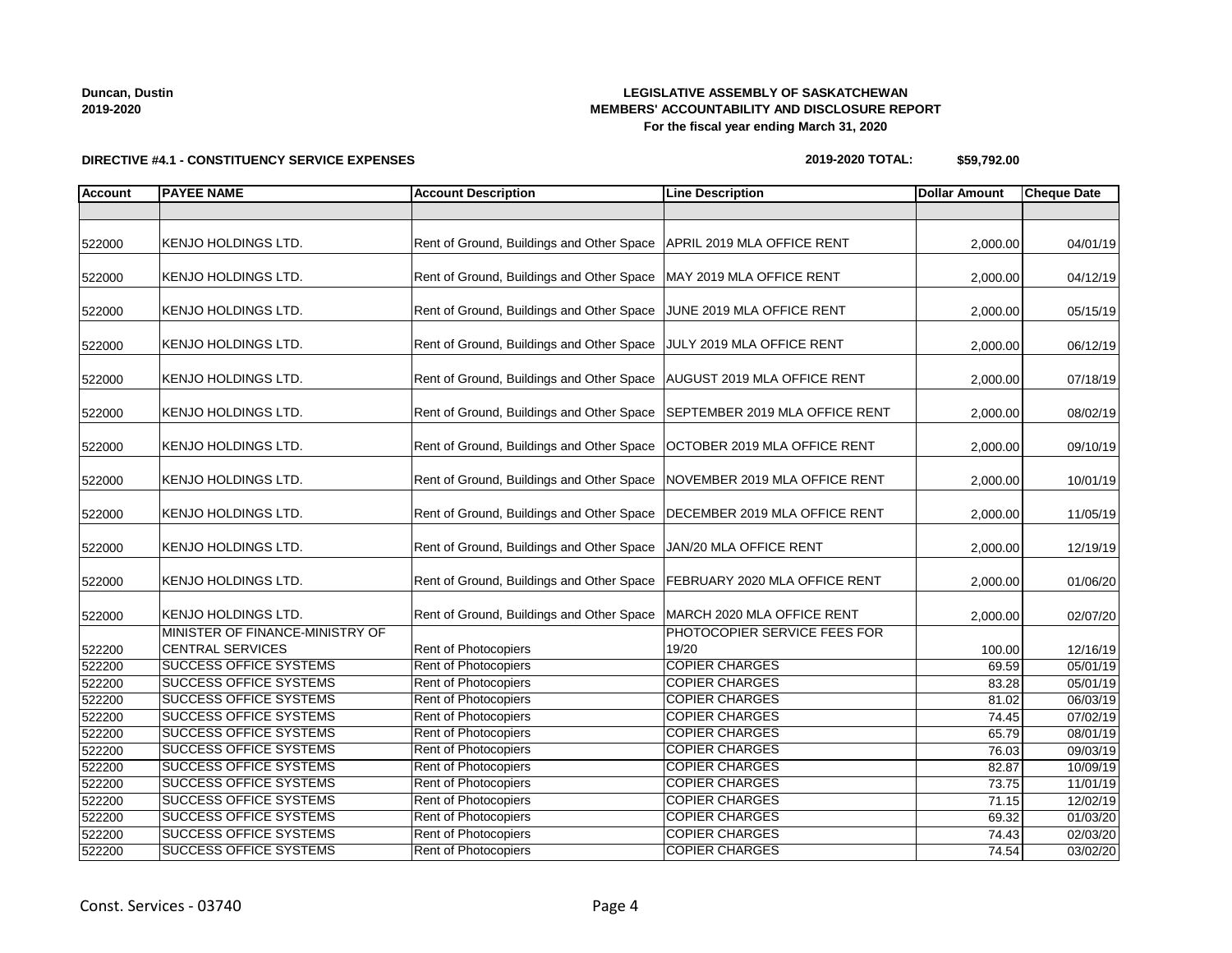# **2019-2020**

**Duncan, Dustin**

### **LEGISLATIVE ASSEMBLY OF SASKATCHEWAN MEMBERS' ACCOUNTABILITY AND DISCLOSURE REPORT For the fiscal year ending March 31, 2020**

**2019-2020 TOTAL: \$59,792.00**

| <b>Account</b>   | <b>PAYEE NAME</b>                                              | <b>Account Description</b>                                                | <b>Line Description</b>        | <b>Dollar Amount</b> | <b>Cheque Date</b>   |
|------------------|----------------------------------------------------------------|---------------------------------------------------------------------------|--------------------------------|----------------------|----------------------|
|                  |                                                                |                                                                           |                                |                      |                      |
| 522000           | KENJO HOLDINGS LTD.                                            | Rent of Ground, Buildings and Other Space   APRIL 2019 MLA OFFICE RENT    |                                | 2,000.00             | 04/01/19             |
| 522000           | <b>KENJO HOLDINGS LTD.</b>                                     | Rent of Ground, Buildings and Other Space   MAY 2019 MLA OFFICE RENT      |                                | 2,000.00             | 04/12/19             |
| 522000           | KENJO HOLDINGS LTD.                                            | Rent of Ground, Buildings and Other Space JUNE 2019 MLA OFFICE RENT       |                                | 2,000.00             | 05/15/19             |
| 522000           | <b>KENJO HOLDINGS LTD.</b>                                     | Rent of Ground, Buildings and Other Space JULY 2019 MLA OFFICE RENT       |                                | 2,000.00             | 06/12/19             |
| 522000           | <b>KENJO HOLDINGS LTD.</b>                                     | Rent of Ground, Buildings and Other Space   AUGUST 2019 MLA OFFICE RENT   |                                | 2,000.00             | 07/18/19             |
| 522000           | <b>KENJO HOLDINGS LTD.</b>                                     | Rent of Ground, Buildings and Other Space SEPTEMBER 2019 MLA OFFICE RENT  |                                | 2,000.00             | 08/02/19             |
| 522000           | KENJO HOLDINGS LTD.                                            | Rent of Ground, Buildings and Other Space   OCTOBER 2019 MLA OFFICE RENT  |                                | 2,000.00             | 09/10/19             |
| 522000           | <b>KENJO HOLDINGS LTD.</b>                                     | Rent of Ground, Buildings and Other Space   NOVEMBER 2019 MLA OFFICE RENT |                                | 2,000.00             | 10/01/19             |
| 522000           | <b>KENJO HOLDINGS LTD.</b>                                     | Rent of Ground, Buildings and Other Space   DECEMBER 2019 MLA OFFICE RENT |                                | 2,000.00             | 11/05/19             |
| 522000           | <b>KENJO HOLDINGS LTD.</b>                                     | Rent of Ground, Buildings and Other Space   JAN/20 MLA OFFICE RENT        |                                | 2,000.00             | 12/19/19             |
| 522000           | KENJO HOLDINGS LTD.                                            | Rent of Ground, Buildings and Other Space   FEBRUARY 2020 MLA OFFICE RENT |                                | 2,000.00             | 01/06/20             |
| 522000           | <b>KENJO HOLDINGS LTD.</b>                                     | Rent of Ground, Buildings and Other Space   MARCH 2020 MLA OFFICE RENT    |                                | 2,000.00             | 02/07/20             |
|                  | MINISTER OF FINANCE-MINISTRY OF                                |                                                                           | PHOTOCOPIER SERVICE FEES FOR   |                      |                      |
| 522200           | <b>CENTRAL SERVICES</b>                                        | Rent of Photocopiers                                                      | 19/20<br><b>COPIER CHARGES</b> | 100.00               | 12/16/19             |
| 522200           | <b>SUCCESS OFFICE SYSTEMS</b><br><b>SUCCESS OFFICE SYSTEMS</b> | Rent of Photocopiers<br><b>Rent of Photocopiers</b>                       | <b>COPIER CHARGES</b>          | 69.59                | 05/01/19             |
| 522200<br>522200 | <b>SUCCESS OFFICE SYSTEMS</b>                                  | <b>Rent of Photocopiers</b>                                               | <b>COPIER CHARGES</b>          | 83.28<br>81.02       | 05/01/19<br>06/03/19 |
| 522200           | <b>SUCCESS OFFICE SYSTEMS</b>                                  | Rent of Photocopiers                                                      | <b>COPIER CHARGES</b>          | 74.45                | 07/02/19             |
| 522200           | <b>SUCCESS OFFICE SYSTEMS</b>                                  | Rent of Photocopiers                                                      | <b>COPIER CHARGES</b>          | 65.79                | 08/01/19             |
| 522200           | <b>SUCCESS OFFICE SYSTEMS</b>                                  | Rent of Photocopiers                                                      | <b>COPIER CHARGES</b>          | 76.03                | 09/03/19             |
| 522200           | <b>SUCCESS OFFICE SYSTEMS</b>                                  | Rent of Photocopiers                                                      | <b>COPIER CHARGES</b>          | 82.87                | 10/09/19             |
| 522200           | <b>SUCCESS OFFICE SYSTEMS</b>                                  | Rent of Photocopiers                                                      | <b>COPIER CHARGES</b>          | 73.75                | 11/01/19             |
| 522200           | <b>SUCCESS OFFICE SYSTEMS</b>                                  | Rent of Photocopiers                                                      | <b>COPIER CHARGES</b>          | 71.15                | 12/02/19             |
| 522200           | <b>SUCCESS OFFICE SYSTEMS</b>                                  | Rent of Photocopiers                                                      | <b>COPIER CHARGES</b>          | 69.32                | 01/03/20             |
| 522200           | <b>SUCCESS OFFICE SYSTEMS</b>                                  | Rent of Photocopiers                                                      | <b>COPIER CHARGES</b>          | 74.43                | 02/03/20             |
| 522200           | <b>SUCCESS OFFICE SYSTEMS</b>                                  | Rent of Photocopiers                                                      | <b>COPIER CHARGES</b>          | 74.54                | 03/02/20             |

### **DIRECTIVE #4.1 - CONSTITUENCY SERVICE EXPENSES**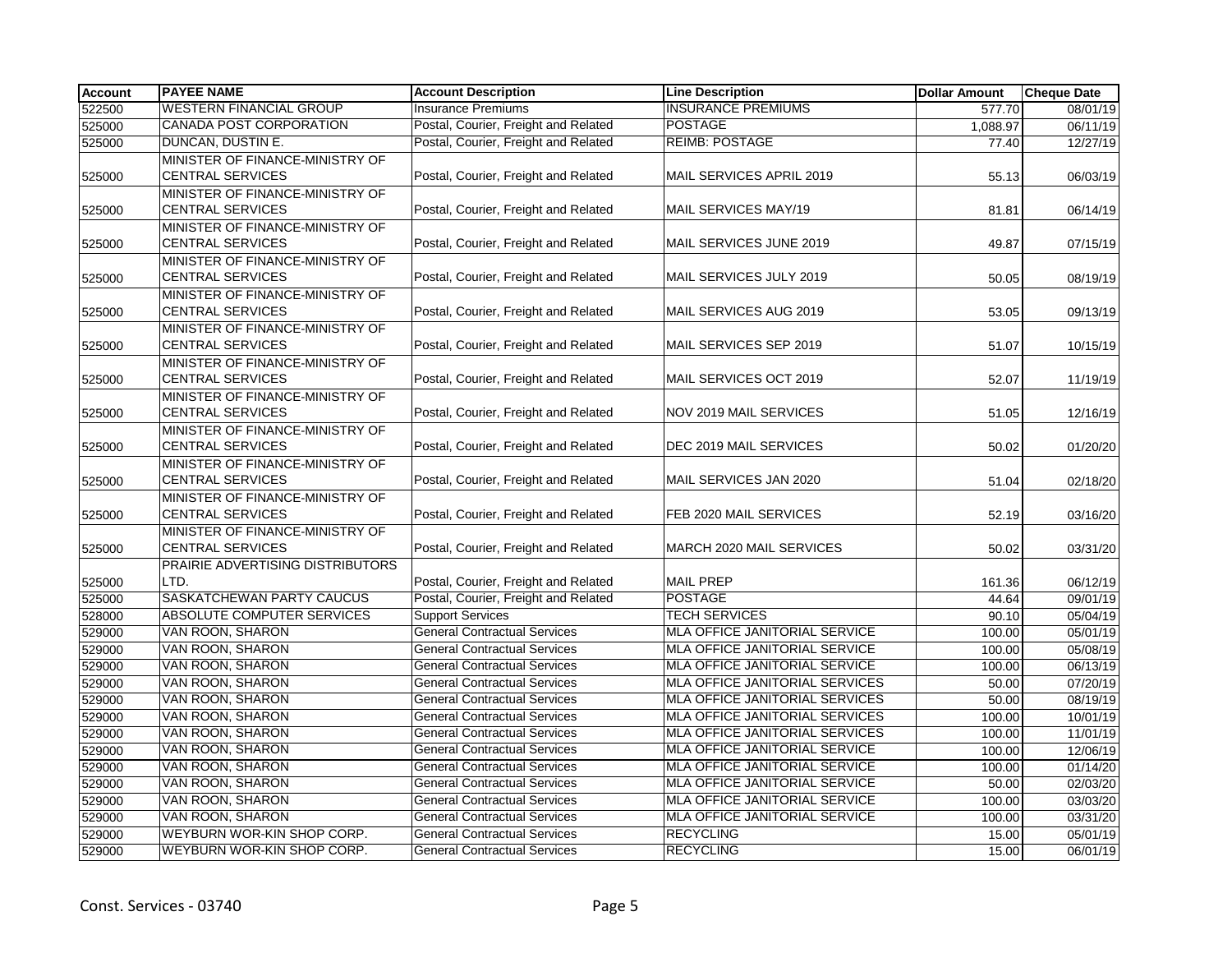| <b>Insurance Premiums</b><br><b>INSURANCE PREMIUMS</b><br>577.70<br>08/01/19<br>Postal, Courier, Freight and Related<br><b>CANADA POST CORPORATION</b><br><b>POSTAGE</b><br>06/11/19<br>1,088.97<br><b>REIMB: POSTAGE</b><br>DUNCAN, DUSTIN E.<br>Postal, Courier, Freight and Related<br>77.40<br>12/27/19<br>MINISTER OF FINANCE-MINISTRY OF<br><b>CENTRAL SERVICES</b><br>Postal, Courier, Freight and Related<br>MAIL SERVICES APRIL 2019<br>55.13<br>06/03/19<br>MINISTER OF FINANCE-MINISTRY OF<br>Postal, Courier, Freight and Related<br>MAIL SERVICES MAY/19<br><b>CENTRAL SERVICES</b><br>81.81<br>06/14/19<br>MINISTER OF FINANCE-MINISTRY OF<br>Postal, Courier, Freight and Related<br><b>CENTRAL SERVICES</b><br>MAIL SERVICES JUNE 2019<br>49.87<br>07/15/19<br>MINISTER OF FINANCE-MINISTRY OF<br><b>CENTRAL SERVICES</b><br>Postal, Courier, Freight and Related<br>MAIL SERVICES JULY 2019<br>50.05<br>08/19/19<br>MINISTER OF FINANCE-MINISTRY OF<br><b>CENTRAL SERVICES</b><br>Postal, Courier, Freight and Related<br>MAIL SERVICES AUG 2019<br>53.05<br>09/13/19<br>MINISTER OF FINANCE-MINISTRY OF<br><b>CENTRAL SERVICES</b><br>Postal, Courier, Freight and Related<br>MAIL SERVICES SEP 2019<br>51.07<br>10/15/19<br>MINISTER OF FINANCE-MINISTRY OF<br><b>CENTRAL SERVICES</b><br>Postal, Courier, Freight and Related<br>MAIL SERVICES OCT 2019<br>525000<br>52.07<br>11/19/19<br>MINISTER OF FINANCE-MINISTRY OF<br><b>CENTRAL SERVICES</b><br>Postal, Courier, Freight and Related<br>NOV 2019 MAIL SERVICES<br>525000<br>51.05<br>12/16/19<br>MINISTER OF FINANCE-MINISTRY OF<br><b>CENTRAL SERVICES</b><br>Postal, Courier, Freight and Related<br>DEC 2019 MAIL SERVICES<br>525000<br>50.02<br>01/20/20<br>MINISTER OF FINANCE-MINISTRY OF<br><b>CENTRAL SERVICES</b><br>Postal, Courier, Freight and Related<br>MAIL SERVICES JAN 2020<br>525000<br>51.04<br>02/18/20<br>MINISTER OF FINANCE-MINISTRY OF<br><b>CENTRAL SERVICES</b><br>Postal, Courier, Freight and Related<br>FEB 2020 MAIL SERVICES<br>525000<br>52.19<br>03/16/20<br>MINISTER OF FINANCE-MINISTRY OF<br><b>CENTRAL SERVICES</b><br>Postal, Courier, Freight and Related<br>MARCH 2020 MAIL SERVICES<br>525000<br>50.02<br>03/31/20<br>PRAIRIE ADVERTISING DISTRIBUTORS<br>Postal, Courier, Freight and Related<br>LTD.<br><b>MAIL PREP</b><br>525000<br>161.36<br>06/12/19<br><b>POSTAGE</b><br>SASKATCHEWAN PARTY CAUCUS<br>Postal, Courier, Freight and Related<br>525000<br>44.64<br>09/01/19<br>ABSOLUTE COMPUTER SERVICES<br><b>TECH SERVICES</b><br><b>Support Services</b><br>528000<br>90.10<br>05/04/19<br><b>VAN ROON, SHARON</b><br><b>General Contractual Services</b><br><b>MLA OFFICE JANITORIAL SERVICE</b><br>529000<br>100.00<br>05/01/19<br>VAN ROON, SHARON<br><b>General Contractual Services</b><br>MLA OFFICE JANITORIAL SERVICE<br>05/08/19<br>529000<br>100.00<br>VAN ROON, SHARON<br><b>General Contractual Services</b><br>MLA OFFICE JANITORIAL SERVICE<br>529000<br>100.00<br>06/13/19<br>VAN ROON, SHARON<br><b>General Contractual Services</b><br>MLA OFFICE JANITORIAL SERVICES<br>529000<br>50.00<br>07/20/19<br>VAN ROON, SHARON<br><b>General Contractual Services</b><br>MLA OFFICE JANITORIAL SERVICES<br>529000<br>08/19/19<br>50.00<br><b>General Contractual Services</b><br>529000<br>VAN ROON, SHARON<br><b>MLA OFFICE JANITORIAL SERVICES</b><br>10/01/19<br>100.00<br>VAN ROON, SHARON<br><b>General Contractual Services</b><br>MLA OFFICE JANITORIAL SERVICES<br>11/01/19<br>529000<br>100.00<br>VAN ROON, SHARON<br><b>General Contractual Services</b><br>MLA OFFICE JANITORIAL SERVICE<br>529000<br>100.00<br>12/06/19<br><b>VAN ROON, SHARON</b><br><b>General Contractual Services</b><br>MLA OFFICE JANITORIAL SERVICE<br>01/14/20<br>529000<br>100.00<br><b>VAN ROON, SHARON</b><br><b>General Contractual Services</b><br><b>MLA OFFICE JANITORIAL SERVICE</b><br>02/03/20<br>529000<br>50.00<br>VAN ROON, SHARON<br><b>General Contractual Services</b><br>MLA OFFICE JANITORIAL SERVICE<br>03/03/20<br>529000<br>100.00<br>VAN ROON, SHARON<br>MLA OFFICE JANITORIAL SERVICE<br>529000<br><b>General Contractual Services</b><br>100.00<br>03/31/20<br>WEYBURN WOR-KIN SHOP CORP.<br><b>General Contractual Services</b><br><b>RECYCLING</b><br>529000<br>15.00<br>05/01/19 | <b>Account</b> | <b>PAYEE NAME</b>              | <b>Account Description</b>          | <b>Line Description</b> | <b>Dollar Amount</b> | <b>Cheque Date</b> |
|------------------------------------------------------------------------------------------------------------------------------------------------------------------------------------------------------------------------------------------------------------------------------------------------------------------------------------------------------------------------------------------------------------------------------------------------------------------------------------------------------------------------------------------------------------------------------------------------------------------------------------------------------------------------------------------------------------------------------------------------------------------------------------------------------------------------------------------------------------------------------------------------------------------------------------------------------------------------------------------------------------------------------------------------------------------------------------------------------------------------------------------------------------------------------------------------------------------------------------------------------------------------------------------------------------------------------------------------------------------------------------------------------------------------------------------------------------------------------------------------------------------------------------------------------------------------------------------------------------------------------------------------------------------------------------------------------------------------------------------------------------------------------------------------------------------------------------------------------------------------------------------------------------------------------------------------------------------------------------------------------------------------------------------------------------------------------------------------------------------------------------------------------------------------------------------------------------------------------------------------------------------------------------------------------------------------------------------------------------------------------------------------------------------------------------------------------------------------------------------------------------------------------------------------------------------------------------------------------------------------------------------------------------------------------------------------------------------------------------------------------------------------------------------------------------------------------------------------------------------------------------------------------------------------------------------------------------------------------------------------------------------------------------------------------------------------------------------------------------------------------------------------------------------------------------------------------------------------------------------------------------------------------------------------------------------------------------------------------------------------------------------------------------------------------------------------------------------------------------------------------------------------------------------------------------------------------------------------------------------------------------------------------------------------------------------------------------------------------------------------------------------------------------------------------------------------------------------------------------------------------------------------------------------------------------------------------------------------------------------------------------------------------------------------------------------------------------------------------------------------------------------------------------------------------------------------------------------------------------------------------------------------------------------------------------------------------------------|----------------|--------------------------------|-------------------------------------|-------------------------|----------------------|--------------------|
|                                                                                                                                                                                                                                                                                                                                                                                                                                                                                                                                                                                                                                                                                                                                                                                                                                                                                                                                                                                                                                                                                                                                                                                                                                                                                                                                                                                                                                                                                                                                                                                                                                                                                                                                                                                                                                                                                                                                                                                                                                                                                                                                                                                                                                                                                                                                                                                                                                                                                                                                                                                                                                                                                                                                                                                                                                                                                                                                                                                                                                                                                                                                                                                                                                                                                                                                                                                                                                                                                                                                                                                                                                                                                                                                                                                                                                                                                                                                                                                                                                                                                                                                                                                                                                                                                                                                          | 522500         | <b>WESTERN FINANCIAL GROUP</b> |                                     |                         |                      |                    |
|                                                                                                                                                                                                                                                                                                                                                                                                                                                                                                                                                                                                                                                                                                                                                                                                                                                                                                                                                                                                                                                                                                                                                                                                                                                                                                                                                                                                                                                                                                                                                                                                                                                                                                                                                                                                                                                                                                                                                                                                                                                                                                                                                                                                                                                                                                                                                                                                                                                                                                                                                                                                                                                                                                                                                                                                                                                                                                                                                                                                                                                                                                                                                                                                                                                                                                                                                                                                                                                                                                                                                                                                                                                                                                                                                                                                                                                                                                                                                                                                                                                                                                                                                                                                                                                                                                                                          | 525000         |                                |                                     |                         |                      |                    |
|                                                                                                                                                                                                                                                                                                                                                                                                                                                                                                                                                                                                                                                                                                                                                                                                                                                                                                                                                                                                                                                                                                                                                                                                                                                                                                                                                                                                                                                                                                                                                                                                                                                                                                                                                                                                                                                                                                                                                                                                                                                                                                                                                                                                                                                                                                                                                                                                                                                                                                                                                                                                                                                                                                                                                                                                                                                                                                                                                                                                                                                                                                                                                                                                                                                                                                                                                                                                                                                                                                                                                                                                                                                                                                                                                                                                                                                                                                                                                                                                                                                                                                                                                                                                                                                                                                                                          | 525000         |                                |                                     |                         |                      |                    |
|                                                                                                                                                                                                                                                                                                                                                                                                                                                                                                                                                                                                                                                                                                                                                                                                                                                                                                                                                                                                                                                                                                                                                                                                                                                                                                                                                                                                                                                                                                                                                                                                                                                                                                                                                                                                                                                                                                                                                                                                                                                                                                                                                                                                                                                                                                                                                                                                                                                                                                                                                                                                                                                                                                                                                                                                                                                                                                                                                                                                                                                                                                                                                                                                                                                                                                                                                                                                                                                                                                                                                                                                                                                                                                                                                                                                                                                                                                                                                                                                                                                                                                                                                                                                                                                                                                                                          |                |                                |                                     |                         |                      |                    |
|                                                                                                                                                                                                                                                                                                                                                                                                                                                                                                                                                                                                                                                                                                                                                                                                                                                                                                                                                                                                                                                                                                                                                                                                                                                                                                                                                                                                                                                                                                                                                                                                                                                                                                                                                                                                                                                                                                                                                                                                                                                                                                                                                                                                                                                                                                                                                                                                                                                                                                                                                                                                                                                                                                                                                                                                                                                                                                                                                                                                                                                                                                                                                                                                                                                                                                                                                                                                                                                                                                                                                                                                                                                                                                                                                                                                                                                                                                                                                                                                                                                                                                                                                                                                                                                                                                                                          | 525000         |                                |                                     |                         |                      |                    |
|                                                                                                                                                                                                                                                                                                                                                                                                                                                                                                                                                                                                                                                                                                                                                                                                                                                                                                                                                                                                                                                                                                                                                                                                                                                                                                                                                                                                                                                                                                                                                                                                                                                                                                                                                                                                                                                                                                                                                                                                                                                                                                                                                                                                                                                                                                                                                                                                                                                                                                                                                                                                                                                                                                                                                                                                                                                                                                                                                                                                                                                                                                                                                                                                                                                                                                                                                                                                                                                                                                                                                                                                                                                                                                                                                                                                                                                                                                                                                                                                                                                                                                                                                                                                                                                                                                                                          |                |                                |                                     |                         |                      |                    |
|                                                                                                                                                                                                                                                                                                                                                                                                                                                                                                                                                                                                                                                                                                                                                                                                                                                                                                                                                                                                                                                                                                                                                                                                                                                                                                                                                                                                                                                                                                                                                                                                                                                                                                                                                                                                                                                                                                                                                                                                                                                                                                                                                                                                                                                                                                                                                                                                                                                                                                                                                                                                                                                                                                                                                                                                                                                                                                                                                                                                                                                                                                                                                                                                                                                                                                                                                                                                                                                                                                                                                                                                                                                                                                                                                                                                                                                                                                                                                                                                                                                                                                                                                                                                                                                                                                                                          | 525000         |                                |                                     |                         |                      |                    |
|                                                                                                                                                                                                                                                                                                                                                                                                                                                                                                                                                                                                                                                                                                                                                                                                                                                                                                                                                                                                                                                                                                                                                                                                                                                                                                                                                                                                                                                                                                                                                                                                                                                                                                                                                                                                                                                                                                                                                                                                                                                                                                                                                                                                                                                                                                                                                                                                                                                                                                                                                                                                                                                                                                                                                                                                                                                                                                                                                                                                                                                                                                                                                                                                                                                                                                                                                                                                                                                                                                                                                                                                                                                                                                                                                                                                                                                                                                                                                                                                                                                                                                                                                                                                                                                                                                                                          |                |                                |                                     |                         |                      |                    |
|                                                                                                                                                                                                                                                                                                                                                                                                                                                                                                                                                                                                                                                                                                                                                                                                                                                                                                                                                                                                                                                                                                                                                                                                                                                                                                                                                                                                                                                                                                                                                                                                                                                                                                                                                                                                                                                                                                                                                                                                                                                                                                                                                                                                                                                                                                                                                                                                                                                                                                                                                                                                                                                                                                                                                                                                                                                                                                                                                                                                                                                                                                                                                                                                                                                                                                                                                                                                                                                                                                                                                                                                                                                                                                                                                                                                                                                                                                                                                                                                                                                                                                                                                                                                                                                                                                                                          | 525000         |                                |                                     |                         |                      |                    |
|                                                                                                                                                                                                                                                                                                                                                                                                                                                                                                                                                                                                                                                                                                                                                                                                                                                                                                                                                                                                                                                                                                                                                                                                                                                                                                                                                                                                                                                                                                                                                                                                                                                                                                                                                                                                                                                                                                                                                                                                                                                                                                                                                                                                                                                                                                                                                                                                                                                                                                                                                                                                                                                                                                                                                                                                                                                                                                                                                                                                                                                                                                                                                                                                                                                                                                                                                                                                                                                                                                                                                                                                                                                                                                                                                                                                                                                                                                                                                                                                                                                                                                                                                                                                                                                                                                                                          |                |                                |                                     |                         |                      |                    |
|                                                                                                                                                                                                                                                                                                                                                                                                                                                                                                                                                                                                                                                                                                                                                                                                                                                                                                                                                                                                                                                                                                                                                                                                                                                                                                                                                                                                                                                                                                                                                                                                                                                                                                                                                                                                                                                                                                                                                                                                                                                                                                                                                                                                                                                                                                                                                                                                                                                                                                                                                                                                                                                                                                                                                                                                                                                                                                                                                                                                                                                                                                                                                                                                                                                                                                                                                                                                                                                                                                                                                                                                                                                                                                                                                                                                                                                                                                                                                                                                                                                                                                                                                                                                                                                                                                                                          | 525000         |                                |                                     |                         |                      |                    |
|                                                                                                                                                                                                                                                                                                                                                                                                                                                                                                                                                                                                                                                                                                                                                                                                                                                                                                                                                                                                                                                                                                                                                                                                                                                                                                                                                                                                                                                                                                                                                                                                                                                                                                                                                                                                                                                                                                                                                                                                                                                                                                                                                                                                                                                                                                                                                                                                                                                                                                                                                                                                                                                                                                                                                                                                                                                                                                                                                                                                                                                                                                                                                                                                                                                                                                                                                                                                                                                                                                                                                                                                                                                                                                                                                                                                                                                                                                                                                                                                                                                                                                                                                                                                                                                                                                                                          |                |                                |                                     |                         |                      |                    |
|                                                                                                                                                                                                                                                                                                                                                                                                                                                                                                                                                                                                                                                                                                                                                                                                                                                                                                                                                                                                                                                                                                                                                                                                                                                                                                                                                                                                                                                                                                                                                                                                                                                                                                                                                                                                                                                                                                                                                                                                                                                                                                                                                                                                                                                                                                                                                                                                                                                                                                                                                                                                                                                                                                                                                                                                                                                                                                                                                                                                                                                                                                                                                                                                                                                                                                                                                                                                                                                                                                                                                                                                                                                                                                                                                                                                                                                                                                                                                                                                                                                                                                                                                                                                                                                                                                                                          | 525000         |                                |                                     |                         |                      |                    |
|                                                                                                                                                                                                                                                                                                                                                                                                                                                                                                                                                                                                                                                                                                                                                                                                                                                                                                                                                                                                                                                                                                                                                                                                                                                                                                                                                                                                                                                                                                                                                                                                                                                                                                                                                                                                                                                                                                                                                                                                                                                                                                                                                                                                                                                                                                                                                                                                                                                                                                                                                                                                                                                                                                                                                                                                                                                                                                                                                                                                                                                                                                                                                                                                                                                                                                                                                                                                                                                                                                                                                                                                                                                                                                                                                                                                                                                                                                                                                                                                                                                                                                                                                                                                                                                                                                                                          |                |                                |                                     |                         |                      |                    |
|                                                                                                                                                                                                                                                                                                                                                                                                                                                                                                                                                                                                                                                                                                                                                                                                                                                                                                                                                                                                                                                                                                                                                                                                                                                                                                                                                                                                                                                                                                                                                                                                                                                                                                                                                                                                                                                                                                                                                                                                                                                                                                                                                                                                                                                                                                                                                                                                                                                                                                                                                                                                                                                                                                                                                                                                                                                                                                                                                                                                                                                                                                                                                                                                                                                                                                                                                                                                                                                                                                                                                                                                                                                                                                                                                                                                                                                                                                                                                                                                                                                                                                                                                                                                                                                                                                                                          | 525000         |                                |                                     |                         |                      |                    |
|                                                                                                                                                                                                                                                                                                                                                                                                                                                                                                                                                                                                                                                                                                                                                                                                                                                                                                                                                                                                                                                                                                                                                                                                                                                                                                                                                                                                                                                                                                                                                                                                                                                                                                                                                                                                                                                                                                                                                                                                                                                                                                                                                                                                                                                                                                                                                                                                                                                                                                                                                                                                                                                                                                                                                                                                                                                                                                                                                                                                                                                                                                                                                                                                                                                                                                                                                                                                                                                                                                                                                                                                                                                                                                                                                                                                                                                                                                                                                                                                                                                                                                                                                                                                                                                                                                                                          |                |                                |                                     |                         |                      |                    |
|                                                                                                                                                                                                                                                                                                                                                                                                                                                                                                                                                                                                                                                                                                                                                                                                                                                                                                                                                                                                                                                                                                                                                                                                                                                                                                                                                                                                                                                                                                                                                                                                                                                                                                                                                                                                                                                                                                                                                                                                                                                                                                                                                                                                                                                                                                                                                                                                                                                                                                                                                                                                                                                                                                                                                                                                                                                                                                                                                                                                                                                                                                                                                                                                                                                                                                                                                                                                                                                                                                                                                                                                                                                                                                                                                                                                                                                                                                                                                                                                                                                                                                                                                                                                                                                                                                                                          |                |                                |                                     |                         |                      |                    |
|                                                                                                                                                                                                                                                                                                                                                                                                                                                                                                                                                                                                                                                                                                                                                                                                                                                                                                                                                                                                                                                                                                                                                                                                                                                                                                                                                                                                                                                                                                                                                                                                                                                                                                                                                                                                                                                                                                                                                                                                                                                                                                                                                                                                                                                                                                                                                                                                                                                                                                                                                                                                                                                                                                                                                                                                                                                                                                                                                                                                                                                                                                                                                                                                                                                                                                                                                                                                                                                                                                                                                                                                                                                                                                                                                                                                                                                                                                                                                                                                                                                                                                                                                                                                                                                                                                                                          |                |                                |                                     |                         |                      |                    |
|                                                                                                                                                                                                                                                                                                                                                                                                                                                                                                                                                                                                                                                                                                                                                                                                                                                                                                                                                                                                                                                                                                                                                                                                                                                                                                                                                                                                                                                                                                                                                                                                                                                                                                                                                                                                                                                                                                                                                                                                                                                                                                                                                                                                                                                                                                                                                                                                                                                                                                                                                                                                                                                                                                                                                                                                                                                                                                                                                                                                                                                                                                                                                                                                                                                                                                                                                                                                                                                                                                                                                                                                                                                                                                                                                                                                                                                                                                                                                                                                                                                                                                                                                                                                                                                                                                                                          |                |                                |                                     |                         |                      |                    |
|                                                                                                                                                                                                                                                                                                                                                                                                                                                                                                                                                                                                                                                                                                                                                                                                                                                                                                                                                                                                                                                                                                                                                                                                                                                                                                                                                                                                                                                                                                                                                                                                                                                                                                                                                                                                                                                                                                                                                                                                                                                                                                                                                                                                                                                                                                                                                                                                                                                                                                                                                                                                                                                                                                                                                                                                                                                                                                                                                                                                                                                                                                                                                                                                                                                                                                                                                                                                                                                                                                                                                                                                                                                                                                                                                                                                                                                                                                                                                                                                                                                                                                                                                                                                                                                                                                                                          |                |                                |                                     |                         |                      |                    |
|                                                                                                                                                                                                                                                                                                                                                                                                                                                                                                                                                                                                                                                                                                                                                                                                                                                                                                                                                                                                                                                                                                                                                                                                                                                                                                                                                                                                                                                                                                                                                                                                                                                                                                                                                                                                                                                                                                                                                                                                                                                                                                                                                                                                                                                                                                                                                                                                                                                                                                                                                                                                                                                                                                                                                                                                                                                                                                                                                                                                                                                                                                                                                                                                                                                                                                                                                                                                                                                                                                                                                                                                                                                                                                                                                                                                                                                                                                                                                                                                                                                                                                                                                                                                                                                                                                                                          |                |                                |                                     |                         |                      |                    |
|                                                                                                                                                                                                                                                                                                                                                                                                                                                                                                                                                                                                                                                                                                                                                                                                                                                                                                                                                                                                                                                                                                                                                                                                                                                                                                                                                                                                                                                                                                                                                                                                                                                                                                                                                                                                                                                                                                                                                                                                                                                                                                                                                                                                                                                                                                                                                                                                                                                                                                                                                                                                                                                                                                                                                                                                                                                                                                                                                                                                                                                                                                                                                                                                                                                                                                                                                                                                                                                                                                                                                                                                                                                                                                                                                                                                                                                                                                                                                                                                                                                                                                                                                                                                                                                                                                                                          |                |                                |                                     |                         |                      |                    |
|                                                                                                                                                                                                                                                                                                                                                                                                                                                                                                                                                                                                                                                                                                                                                                                                                                                                                                                                                                                                                                                                                                                                                                                                                                                                                                                                                                                                                                                                                                                                                                                                                                                                                                                                                                                                                                                                                                                                                                                                                                                                                                                                                                                                                                                                                                                                                                                                                                                                                                                                                                                                                                                                                                                                                                                                                                                                                                                                                                                                                                                                                                                                                                                                                                                                                                                                                                                                                                                                                                                                                                                                                                                                                                                                                                                                                                                                                                                                                                                                                                                                                                                                                                                                                                                                                                                                          |                |                                |                                     |                         |                      |                    |
|                                                                                                                                                                                                                                                                                                                                                                                                                                                                                                                                                                                                                                                                                                                                                                                                                                                                                                                                                                                                                                                                                                                                                                                                                                                                                                                                                                                                                                                                                                                                                                                                                                                                                                                                                                                                                                                                                                                                                                                                                                                                                                                                                                                                                                                                                                                                                                                                                                                                                                                                                                                                                                                                                                                                                                                                                                                                                                                                                                                                                                                                                                                                                                                                                                                                                                                                                                                                                                                                                                                                                                                                                                                                                                                                                                                                                                                                                                                                                                                                                                                                                                                                                                                                                                                                                                                                          |                |                                |                                     |                         |                      |                    |
|                                                                                                                                                                                                                                                                                                                                                                                                                                                                                                                                                                                                                                                                                                                                                                                                                                                                                                                                                                                                                                                                                                                                                                                                                                                                                                                                                                                                                                                                                                                                                                                                                                                                                                                                                                                                                                                                                                                                                                                                                                                                                                                                                                                                                                                                                                                                                                                                                                                                                                                                                                                                                                                                                                                                                                                                                                                                                                                                                                                                                                                                                                                                                                                                                                                                                                                                                                                                                                                                                                                                                                                                                                                                                                                                                                                                                                                                                                                                                                                                                                                                                                                                                                                                                                                                                                                                          |                |                                |                                     |                         |                      |                    |
|                                                                                                                                                                                                                                                                                                                                                                                                                                                                                                                                                                                                                                                                                                                                                                                                                                                                                                                                                                                                                                                                                                                                                                                                                                                                                                                                                                                                                                                                                                                                                                                                                                                                                                                                                                                                                                                                                                                                                                                                                                                                                                                                                                                                                                                                                                                                                                                                                                                                                                                                                                                                                                                                                                                                                                                                                                                                                                                                                                                                                                                                                                                                                                                                                                                                                                                                                                                                                                                                                                                                                                                                                                                                                                                                                                                                                                                                                                                                                                                                                                                                                                                                                                                                                                                                                                                                          |                |                                |                                     |                         |                      |                    |
|                                                                                                                                                                                                                                                                                                                                                                                                                                                                                                                                                                                                                                                                                                                                                                                                                                                                                                                                                                                                                                                                                                                                                                                                                                                                                                                                                                                                                                                                                                                                                                                                                                                                                                                                                                                                                                                                                                                                                                                                                                                                                                                                                                                                                                                                                                                                                                                                                                                                                                                                                                                                                                                                                                                                                                                                                                                                                                                                                                                                                                                                                                                                                                                                                                                                                                                                                                                                                                                                                                                                                                                                                                                                                                                                                                                                                                                                                                                                                                                                                                                                                                                                                                                                                                                                                                                                          |                |                                |                                     |                         |                      |                    |
|                                                                                                                                                                                                                                                                                                                                                                                                                                                                                                                                                                                                                                                                                                                                                                                                                                                                                                                                                                                                                                                                                                                                                                                                                                                                                                                                                                                                                                                                                                                                                                                                                                                                                                                                                                                                                                                                                                                                                                                                                                                                                                                                                                                                                                                                                                                                                                                                                                                                                                                                                                                                                                                                                                                                                                                                                                                                                                                                                                                                                                                                                                                                                                                                                                                                                                                                                                                                                                                                                                                                                                                                                                                                                                                                                                                                                                                                                                                                                                                                                                                                                                                                                                                                                                                                                                                                          |                |                                |                                     |                         |                      |                    |
|                                                                                                                                                                                                                                                                                                                                                                                                                                                                                                                                                                                                                                                                                                                                                                                                                                                                                                                                                                                                                                                                                                                                                                                                                                                                                                                                                                                                                                                                                                                                                                                                                                                                                                                                                                                                                                                                                                                                                                                                                                                                                                                                                                                                                                                                                                                                                                                                                                                                                                                                                                                                                                                                                                                                                                                                                                                                                                                                                                                                                                                                                                                                                                                                                                                                                                                                                                                                                                                                                                                                                                                                                                                                                                                                                                                                                                                                                                                                                                                                                                                                                                                                                                                                                                                                                                                                          |                |                                |                                     |                         |                      |                    |
|                                                                                                                                                                                                                                                                                                                                                                                                                                                                                                                                                                                                                                                                                                                                                                                                                                                                                                                                                                                                                                                                                                                                                                                                                                                                                                                                                                                                                                                                                                                                                                                                                                                                                                                                                                                                                                                                                                                                                                                                                                                                                                                                                                                                                                                                                                                                                                                                                                                                                                                                                                                                                                                                                                                                                                                                                                                                                                                                                                                                                                                                                                                                                                                                                                                                                                                                                                                                                                                                                                                                                                                                                                                                                                                                                                                                                                                                                                                                                                                                                                                                                                                                                                                                                                                                                                                                          |                |                                |                                     |                         |                      |                    |
|                                                                                                                                                                                                                                                                                                                                                                                                                                                                                                                                                                                                                                                                                                                                                                                                                                                                                                                                                                                                                                                                                                                                                                                                                                                                                                                                                                                                                                                                                                                                                                                                                                                                                                                                                                                                                                                                                                                                                                                                                                                                                                                                                                                                                                                                                                                                                                                                                                                                                                                                                                                                                                                                                                                                                                                                                                                                                                                                                                                                                                                                                                                                                                                                                                                                                                                                                                                                                                                                                                                                                                                                                                                                                                                                                                                                                                                                                                                                                                                                                                                                                                                                                                                                                                                                                                                                          |                |                                |                                     |                         |                      |                    |
|                                                                                                                                                                                                                                                                                                                                                                                                                                                                                                                                                                                                                                                                                                                                                                                                                                                                                                                                                                                                                                                                                                                                                                                                                                                                                                                                                                                                                                                                                                                                                                                                                                                                                                                                                                                                                                                                                                                                                                                                                                                                                                                                                                                                                                                                                                                                                                                                                                                                                                                                                                                                                                                                                                                                                                                                                                                                                                                                                                                                                                                                                                                                                                                                                                                                                                                                                                                                                                                                                                                                                                                                                                                                                                                                                                                                                                                                                                                                                                                                                                                                                                                                                                                                                                                                                                                                          |                |                                |                                     |                         |                      |                    |
|                                                                                                                                                                                                                                                                                                                                                                                                                                                                                                                                                                                                                                                                                                                                                                                                                                                                                                                                                                                                                                                                                                                                                                                                                                                                                                                                                                                                                                                                                                                                                                                                                                                                                                                                                                                                                                                                                                                                                                                                                                                                                                                                                                                                                                                                                                                                                                                                                                                                                                                                                                                                                                                                                                                                                                                                                                                                                                                                                                                                                                                                                                                                                                                                                                                                                                                                                                                                                                                                                                                                                                                                                                                                                                                                                                                                                                                                                                                                                                                                                                                                                                                                                                                                                                                                                                                                          |                |                                |                                     |                         |                      |                    |
|                                                                                                                                                                                                                                                                                                                                                                                                                                                                                                                                                                                                                                                                                                                                                                                                                                                                                                                                                                                                                                                                                                                                                                                                                                                                                                                                                                                                                                                                                                                                                                                                                                                                                                                                                                                                                                                                                                                                                                                                                                                                                                                                                                                                                                                                                                                                                                                                                                                                                                                                                                                                                                                                                                                                                                                                                                                                                                                                                                                                                                                                                                                                                                                                                                                                                                                                                                                                                                                                                                                                                                                                                                                                                                                                                                                                                                                                                                                                                                                                                                                                                                                                                                                                                                                                                                                                          |                |                                |                                     |                         |                      |                    |
|                                                                                                                                                                                                                                                                                                                                                                                                                                                                                                                                                                                                                                                                                                                                                                                                                                                                                                                                                                                                                                                                                                                                                                                                                                                                                                                                                                                                                                                                                                                                                                                                                                                                                                                                                                                                                                                                                                                                                                                                                                                                                                                                                                                                                                                                                                                                                                                                                                                                                                                                                                                                                                                                                                                                                                                                                                                                                                                                                                                                                                                                                                                                                                                                                                                                                                                                                                                                                                                                                                                                                                                                                                                                                                                                                                                                                                                                                                                                                                                                                                                                                                                                                                                                                                                                                                                                          |                |                                |                                     |                         |                      |                    |
|                                                                                                                                                                                                                                                                                                                                                                                                                                                                                                                                                                                                                                                                                                                                                                                                                                                                                                                                                                                                                                                                                                                                                                                                                                                                                                                                                                                                                                                                                                                                                                                                                                                                                                                                                                                                                                                                                                                                                                                                                                                                                                                                                                                                                                                                                                                                                                                                                                                                                                                                                                                                                                                                                                                                                                                                                                                                                                                                                                                                                                                                                                                                                                                                                                                                                                                                                                                                                                                                                                                                                                                                                                                                                                                                                                                                                                                                                                                                                                                                                                                                                                                                                                                                                                                                                                                                          |                |                                |                                     |                         |                      |                    |
|                                                                                                                                                                                                                                                                                                                                                                                                                                                                                                                                                                                                                                                                                                                                                                                                                                                                                                                                                                                                                                                                                                                                                                                                                                                                                                                                                                                                                                                                                                                                                                                                                                                                                                                                                                                                                                                                                                                                                                                                                                                                                                                                                                                                                                                                                                                                                                                                                                                                                                                                                                                                                                                                                                                                                                                                                                                                                                                                                                                                                                                                                                                                                                                                                                                                                                                                                                                                                                                                                                                                                                                                                                                                                                                                                                                                                                                                                                                                                                                                                                                                                                                                                                                                                                                                                                                                          |                |                                |                                     |                         |                      |                    |
|                                                                                                                                                                                                                                                                                                                                                                                                                                                                                                                                                                                                                                                                                                                                                                                                                                                                                                                                                                                                                                                                                                                                                                                                                                                                                                                                                                                                                                                                                                                                                                                                                                                                                                                                                                                                                                                                                                                                                                                                                                                                                                                                                                                                                                                                                                                                                                                                                                                                                                                                                                                                                                                                                                                                                                                                                                                                                                                                                                                                                                                                                                                                                                                                                                                                                                                                                                                                                                                                                                                                                                                                                                                                                                                                                                                                                                                                                                                                                                                                                                                                                                                                                                                                                                                                                                                                          |                |                                |                                     |                         |                      |                    |
|                                                                                                                                                                                                                                                                                                                                                                                                                                                                                                                                                                                                                                                                                                                                                                                                                                                                                                                                                                                                                                                                                                                                                                                                                                                                                                                                                                                                                                                                                                                                                                                                                                                                                                                                                                                                                                                                                                                                                                                                                                                                                                                                                                                                                                                                                                                                                                                                                                                                                                                                                                                                                                                                                                                                                                                                                                                                                                                                                                                                                                                                                                                                                                                                                                                                                                                                                                                                                                                                                                                                                                                                                                                                                                                                                                                                                                                                                                                                                                                                                                                                                                                                                                                                                                                                                                                                          |                |                                |                                     |                         |                      |                    |
|                                                                                                                                                                                                                                                                                                                                                                                                                                                                                                                                                                                                                                                                                                                                                                                                                                                                                                                                                                                                                                                                                                                                                                                                                                                                                                                                                                                                                                                                                                                                                                                                                                                                                                                                                                                                                                                                                                                                                                                                                                                                                                                                                                                                                                                                                                                                                                                                                                                                                                                                                                                                                                                                                                                                                                                                                                                                                                                                                                                                                                                                                                                                                                                                                                                                                                                                                                                                                                                                                                                                                                                                                                                                                                                                                                                                                                                                                                                                                                                                                                                                                                                                                                                                                                                                                                                                          |                |                                |                                     |                         |                      |                    |
|                                                                                                                                                                                                                                                                                                                                                                                                                                                                                                                                                                                                                                                                                                                                                                                                                                                                                                                                                                                                                                                                                                                                                                                                                                                                                                                                                                                                                                                                                                                                                                                                                                                                                                                                                                                                                                                                                                                                                                                                                                                                                                                                                                                                                                                                                                                                                                                                                                                                                                                                                                                                                                                                                                                                                                                                                                                                                                                                                                                                                                                                                                                                                                                                                                                                                                                                                                                                                                                                                                                                                                                                                                                                                                                                                                                                                                                                                                                                                                                                                                                                                                                                                                                                                                                                                                                                          |                |                                |                                     |                         |                      |                    |
|                                                                                                                                                                                                                                                                                                                                                                                                                                                                                                                                                                                                                                                                                                                                                                                                                                                                                                                                                                                                                                                                                                                                                                                                                                                                                                                                                                                                                                                                                                                                                                                                                                                                                                                                                                                                                                                                                                                                                                                                                                                                                                                                                                                                                                                                                                                                                                                                                                                                                                                                                                                                                                                                                                                                                                                                                                                                                                                                                                                                                                                                                                                                                                                                                                                                                                                                                                                                                                                                                                                                                                                                                                                                                                                                                                                                                                                                                                                                                                                                                                                                                                                                                                                                                                                                                                                                          |                |                                |                                     |                         |                      |                    |
|                                                                                                                                                                                                                                                                                                                                                                                                                                                                                                                                                                                                                                                                                                                                                                                                                                                                                                                                                                                                                                                                                                                                                                                                                                                                                                                                                                                                                                                                                                                                                                                                                                                                                                                                                                                                                                                                                                                                                                                                                                                                                                                                                                                                                                                                                                                                                                                                                                                                                                                                                                                                                                                                                                                                                                                                                                                                                                                                                                                                                                                                                                                                                                                                                                                                                                                                                                                                                                                                                                                                                                                                                                                                                                                                                                                                                                                                                                                                                                                                                                                                                                                                                                                                                                                                                                                                          |                |                                |                                     |                         |                      |                    |
|                                                                                                                                                                                                                                                                                                                                                                                                                                                                                                                                                                                                                                                                                                                                                                                                                                                                                                                                                                                                                                                                                                                                                                                                                                                                                                                                                                                                                                                                                                                                                                                                                                                                                                                                                                                                                                                                                                                                                                                                                                                                                                                                                                                                                                                                                                                                                                                                                                                                                                                                                                                                                                                                                                                                                                                                                                                                                                                                                                                                                                                                                                                                                                                                                                                                                                                                                                                                                                                                                                                                                                                                                                                                                                                                                                                                                                                                                                                                                                                                                                                                                                                                                                                                                                                                                                                                          | 529000         | WEYBURN WOR-KIN SHOP CORP.     | <b>General Contractual Services</b> | <b>RECYCLING</b>        | 15.00                | 06/01/19           |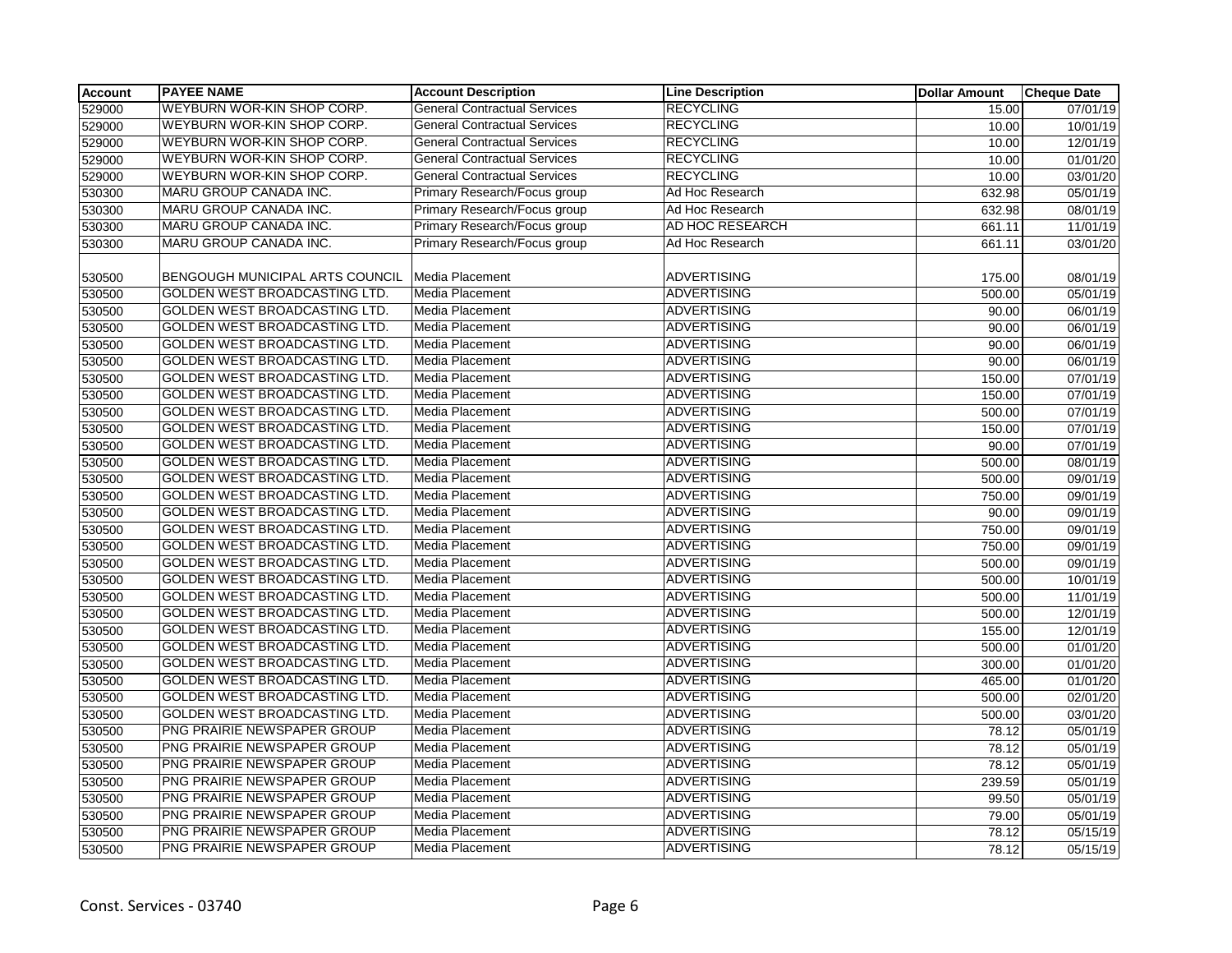| WEYBURN WOR-KIN SHOP CORP.<br><b>RECYCLING</b><br><b>General Contractual Services</b><br>07/01/19<br>15.00<br>WEYBURN WOR-KIN SHOP CORP.<br><b>RECYCLING</b><br><b>General Contractual Services</b><br>10.00<br>10/01/19<br>WEYBURN WOR-KIN SHOP CORP.<br><b>RECYCLING</b><br><b>General Contractual Services</b><br>10.00<br>12/01/19<br>WEYBURN WOR-KIN SHOP CORP.<br><b>RECYCLING</b><br><b>General Contractual Services</b><br>01/01/20<br>10.00<br>WEYBURN WOR-KIN SHOP CORP.<br><b>RECYCLING</b><br><b>General Contractual Services</b><br>10.00<br>03/01/20<br>MARU GROUP CANADA INC.<br>Primary Research/Focus group<br>Ad Hoc Research<br>05/01/19<br>632.98<br>MARU GROUP CANADA INC.<br>Primary Research/Focus group<br>Ad Hoc Research<br>632.98<br>08/01/19<br>MARU GROUP CANADA INC.<br>Primary Research/Focus group<br>AD HOC RESEARCH<br>661.11<br>11/01/19<br>MARU GROUP CANADA INC.<br>Primary Research/Focus group<br>Ad Hoc Research<br>661.11<br>03/01/20<br>BENGOUGH MUNICIPAL ARTS COUNCIL<br>Media Placement<br><b>ADVERTISING</b><br>175.00<br>08/01/19<br>GOLDEN WEST BROADCASTING LTD.<br>Media Placement<br><b>ADVERTISING</b><br>500.00<br>05/01/19<br>GOLDEN WEST BROADCASTING LTD.<br>ADVERTISING<br>Media Placement<br>90.00<br>06/01/19<br>GOLDEN WEST BROADCASTING LTD.<br>Media Placement<br><b>ADVERTISING</b><br>90.00<br>06/01/19<br>GOLDEN WEST BROADCASTING LTD.<br><b>Media Placement</b><br><b>ADVERTISING</b><br>90.00<br>06/01/19<br><b>GOLDEN WEST BROADCASTING LTD.</b><br><b>Media Placement</b><br><b>ADVERTISING</b><br>90.00<br>06/01/19<br>GOLDEN WEST BROADCASTING LTD.<br>Media Placement<br><b>ADVERTISING</b><br>150.00<br>07/01/19<br>GOLDEN WEST BROADCASTING LTD.<br>Media Placement<br><b>ADVERTISING</b><br>150.00<br>07/01/19<br>GOLDEN WEST BROADCASTING LTD.<br><b>ADVERTISING</b><br>Media Placement<br>500.00<br>$\overline{07/01/19}$<br>GOLDEN WEST BROADCASTING LTD.<br><b>ADVERTISING</b><br><b>Media Placement</b><br>530500<br>07/01/19<br>150.00<br>GOLDEN WEST BROADCASTING LTD.<br><b>ADVERTISING</b><br>Media Placement<br>530500<br>90.00<br>07/01/19<br>GOLDEN WEST BROADCASTING LTD.<br><b>ADVERTISING</b><br>530500<br><b>Media Placement</b><br>08/01/19<br>500.00<br><b>GOLDEN WEST BROADCASTING LTD.</b><br>Media Placement<br><b>ADVERTISING</b><br>500.00<br>09/01/19<br>GOLDEN WEST BROADCASTING LTD.<br><b>Media Placement</b><br><b>ADVERTISING</b><br>530500<br>09/01/19<br>750.00<br>GOLDEN WEST BROADCASTING LTD.<br><b>Media Placement</b><br><b>ADVERTISING</b><br>90.00<br>09/01/19<br>GOLDEN WEST BROADCASTING LTD.<br><b>Media Placement</b><br><b>ADVERTISING</b><br>530500<br>750.00<br>09/01/19<br>GOLDEN WEST BROADCASTING LTD.<br><b>ADVERTISING</b><br><b>Media Placement</b><br>750.00<br>09/01/19<br>GOLDEN WEST BROADCASTING LTD.<br><b>ADVERTISING</b><br>530500<br><b>Media Placement</b><br>09/01/19<br>500.00<br>GOLDEN WEST BROADCASTING LTD.<br>Media Placement<br><b>ADVERTISING</b><br>530500<br>500.00<br>10/01/19<br>GOLDEN WEST BROADCASTING LTD.<br><b>Media Placement</b><br><b>ADVERTISING</b><br>530500<br>500.00<br>11/01/19<br><b>GOLDEN WEST BROADCASTING LTD.</b><br><b>Media Placement</b><br><b>ADVERTISING</b><br>530500<br>500.00<br>12/01/19<br>GOLDEN WEST BROADCASTING LTD.<br><b>Media Placement</b><br><b>ADVERTISING</b><br>530500<br>155.00<br>12/01/19<br>GOLDEN WEST BROADCASTING LTD.<br>Media Placement<br><b>ADVERTISING</b><br>530500<br>500.00<br>01/01/20<br>GOLDEN WEST BROADCASTING LTD.<br>Media Placement<br><b>ADVERTISING</b><br>530500<br>300.00<br>01/01/20<br>GOLDEN WEST BROADCASTING LTD.<br><b>ADVERTISING</b><br><b>Media Placement</b><br>530500<br>01/01/20<br>465.00<br>GOLDEN WEST BROADCASTING LTD.<br><b>Media Placement</b><br><b>ADVERTISING</b><br>530500<br>500.00<br>02/01/20<br><b>GOLDEN WEST BROADCASTING LTD.</b><br><b>Media Placement</b><br><b>ADVERTISING</b><br>530500<br>500.00<br>03/01/20<br>PNG PRAIRIE NEWSPAPER GROUP<br>ADVERTISING<br>Media Placement<br>530500<br>78.12<br>05/01/19<br>PNG PRAIRIE NEWSPAPER GROUP<br><b>Media Placement</b><br><b>ADVERTISING</b><br>78.12<br>05/01/19<br>530500<br>PNG PRAIRIE NEWSPAPER GROUP<br><b>ADVERTISING</b><br><b>Media Placement</b><br>530500<br>78.12<br>05/01/19<br>PNG PRAIRIE NEWSPAPER GROUP<br>Media Placement<br><b>ADVERTISING</b><br>530500<br>239.59<br>05/01/19<br>PNG PRAIRIE NEWSPAPER GROUP<br><b>ADVERTISING</b><br><b>Media Placement</b><br>530500<br>99.50<br>05/01/19<br>PNG PRAIRIE NEWSPAPER GROUP<br><b>ADVERTISING</b><br>530500<br><b>Media Placement</b><br>05/01/19<br>79.00<br>PNG PRAIRIE NEWSPAPER GROUP<br><b>Media Placement</b><br><b>ADVERTISING</b><br>530500<br>78.12<br>05/15/19<br>PNG PRAIRIE NEWSPAPER GROUP<br><b>Media Placement</b><br><b>ADVERTISING</b><br>530500<br>78.12<br>05/15/19 | <b>Account</b> | <b>PAYEE NAME</b> | <b>Account Description</b> | <b>Line Description</b> | <b>Dollar Amount</b> | <b>Cheque Date</b> |
|-------------------------------------------------------------------------------------------------------------------------------------------------------------------------------------------------------------------------------------------------------------------------------------------------------------------------------------------------------------------------------------------------------------------------------------------------------------------------------------------------------------------------------------------------------------------------------------------------------------------------------------------------------------------------------------------------------------------------------------------------------------------------------------------------------------------------------------------------------------------------------------------------------------------------------------------------------------------------------------------------------------------------------------------------------------------------------------------------------------------------------------------------------------------------------------------------------------------------------------------------------------------------------------------------------------------------------------------------------------------------------------------------------------------------------------------------------------------------------------------------------------------------------------------------------------------------------------------------------------------------------------------------------------------------------------------------------------------------------------------------------------------------------------------------------------------------------------------------------------------------------------------------------------------------------------------------------------------------------------------------------------------------------------------------------------------------------------------------------------------------------------------------------------------------------------------------------------------------------------------------------------------------------------------------------------------------------------------------------------------------------------------------------------------------------------------------------------------------------------------------------------------------------------------------------------------------------------------------------------------------------------------------------------------------------------------------------------------------------------------------------------------------------------------------------------------------------------------------------------------------------------------------------------------------------------------------------------------------------------------------------------------------------------------------------------------------------------------------------------------------------------------------------------------------------------------------------------------------------------------------------------------------------------------------------------------------------------------------------------------------------------------------------------------------------------------------------------------------------------------------------------------------------------------------------------------------------------------------------------------------------------------------------------------------------------------------------------------------------------------------------------------------------------------------------------------------------------------------------------------------------------------------------------------------------------------------------------------------------------------------------------------------------------------------------------------------------------------------------------------------------------------------------------------------------------------------------------------------------------------------------------------------------------------------------------------------------------------------------------------------------------------------------------------------------------------------------------------------------------------------------------------------------------------------------------------------------------------------------------------------------------------------------------------------------------------------------------------------------------------------------------------------------------------------------------------------------------------------------------------------|----------------|-------------------|----------------------------|-------------------------|----------------------|--------------------|
|                                                                                                                                                                                                                                                                                                                                                                                                                                                                                                                                                                                                                                                                                                                                                                                                                                                                                                                                                                                                                                                                                                                                                                                                                                                                                                                                                                                                                                                                                                                                                                                                                                                                                                                                                                                                                                                                                                                                                                                                                                                                                                                                                                                                                                                                                                                                                                                                                                                                                                                                                                                                                                                                                                                                                                                                                                                                                                                                                                                                                                                                                                                                                                                                                                                                                                                                                                                                                                                                                                                                                                                                                                                                                                                                                                                                                                                                                                                                                                                                                                                                                                                                                                                                                                                                                                                                                                                                                                                                                                                                                                                                                                                                                                                                                                                                                                                                         | 529000         |                   |                            |                         |                      |                    |
|                                                                                                                                                                                                                                                                                                                                                                                                                                                                                                                                                                                                                                                                                                                                                                                                                                                                                                                                                                                                                                                                                                                                                                                                                                                                                                                                                                                                                                                                                                                                                                                                                                                                                                                                                                                                                                                                                                                                                                                                                                                                                                                                                                                                                                                                                                                                                                                                                                                                                                                                                                                                                                                                                                                                                                                                                                                                                                                                                                                                                                                                                                                                                                                                                                                                                                                                                                                                                                                                                                                                                                                                                                                                                                                                                                                                                                                                                                                                                                                                                                                                                                                                                                                                                                                                                                                                                                                                                                                                                                                                                                                                                                                                                                                                                                                                                                                                         | 529000         |                   |                            |                         |                      |                    |
|                                                                                                                                                                                                                                                                                                                                                                                                                                                                                                                                                                                                                                                                                                                                                                                                                                                                                                                                                                                                                                                                                                                                                                                                                                                                                                                                                                                                                                                                                                                                                                                                                                                                                                                                                                                                                                                                                                                                                                                                                                                                                                                                                                                                                                                                                                                                                                                                                                                                                                                                                                                                                                                                                                                                                                                                                                                                                                                                                                                                                                                                                                                                                                                                                                                                                                                                                                                                                                                                                                                                                                                                                                                                                                                                                                                                                                                                                                                                                                                                                                                                                                                                                                                                                                                                                                                                                                                                                                                                                                                                                                                                                                                                                                                                                                                                                                                                         | 529000         |                   |                            |                         |                      |                    |
|                                                                                                                                                                                                                                                                                                                                                                                                                                                                                                                                                                                                                                                                                                                                                                                                                                                                                                                                                                                                                                                                                                                                                                                                                                                                                                                                                                                                                                                                                                                                                                                                                                                                                                                                                                                                                                                                                                                                                                                                                                                                                                                                                                                                                                                                                                                                                                                                                                                                                                                                                                                                                                                                                                                                                                                                                                                                                                                                                                                                                                                                                                                                                                                                                                                                                                                                                                                                                                                                                                                                                                                                                                                                                                                                                                                                                                                                                                                                                                                                                                                                                                                                                                                                                                                                                                                                                                                                                                                                                                                                                                                                                                                                                                                                                                                                                                                                         | 529000         |                   |                            |                         |                      |                    |
|                                                                                                                                                                                                                                                                                                                                                                                                                                                                                                                                                                                                                                                                                                                                                                                                                                                                                                                                                                                                                                                                                                                                                                                                                                                                                                                                                                                                                                                                                                                                                                                                                                                                                                                                                                                                                                                                                                                                                                                                                                                                                                                                                                                                                                                                                                                                                                                                                                                                                                                                                                                                                                                                                                                                                                                                                                                                                                                                                                                                                                                                                                                                                                                                                                                                                                                                                                                                                                                                                                                                                                                                                                                                                                                                                                                                                                                                                                                                                                                                                                                                                                                                                                                                                                                                                                                                                                                                                                                                                                                                                                                                                                                                                                                                                                                                                                                                         | 529000         |                   |                            |                         |                      |                    |
|                                                                                                                                                                                                                                                                                                                                                                                                                                                                                                                                                                                                                                                                                                                                                                                                                                                                                                                                                                                                                                                                                                                                                                                                                                                                                                                                                                                                                                                                                                                                                                                                                                                                                                                                                                                                                                                                                                                                                                                                                                                                                                                                                                                                                                                                                                                                                                                                                                                                                                                                                                                                                                                                                                                                                                                                                                                                                                                                                                                                                                                                                                                                                                                                                                                                                                                                                                                                                                                                                                                                                                                                                                                                                                                                                                                                                                                                                                                                                                                                                                                                                                                                                                                                                                                                                                                                                                                                                                                                                                                                                                                                                                                                                                                                                                                                                                                                         | 530300         |                   |                            |                         |                      |                    |
|                                                                                                                                                                                                                                                                                                                                                                                                                                                                                                                                                                                                                                                                                                                                                                                                                                                                                                                                                                                                                                                                                                                                                                                                                                                                                                                                                                                                                                                                                                                                                                                                                                                                                                                                                                                                                                                                                                                                                                                                                                                                                                                                                                                                                                                                                                                                                                                                                                                                                                                                                                                                                                                                                                                                                                                                                                                                                                                                                                                                                                                                                                                                                                                                                                                                                                                                                                                                                                                                                                                                                                                                                                                                                                                                                                                                                                                                                                                                                                                                                                                                                                                                                                                                                                                                                                                                                                                                                                                                                                                                                                                                                                                                                                                                                                                                                                                                         | 530300         |                   |                            |                         |                      |                    |
|                                                                                                                                                                                                                                                                                                                                                                                                                                                                                                                                                                                                                                                                                                                                                                                                                                                                                                                                                                                                                                                                                                                                                                                                                                                                                                                                                                                                                                                                                                                                                                                                                                                                                                                                                                                                                                                                                                                                                                                                                                                                                                                                                                                                                                                                                                                                                                                                                                                                                                                                                                                                                                                                                                                                                                                                                                                                                                                                                                                                                                                                                                                                                                                                                                                                                                                                                                                                                                                                                                                                                                                                                                                                                                                                                                                                                                                                                                                                                                                                                                                                                                                                                                                                                                                                                                                                                                                                                                                                                                                                                                                                                                                                                                                                                                                                                                                                         | 530300         |                   |                            |                         |                      |                    |
|                                                                                                                                                                                                                                                                                                                                                                                                                                                                                                                                                                                                                                                                                                                                                                                                                                                                                                                                                                                                                                                                                                                                                                                                                                                                                                                                                                                                                                                                                                                                                                                                                                                                                                                                                                                                                                                                                                                                                                                                                                                                                                                                                                                                                                                                                                                                                                                                                                                                                                                                                                                                                                                                                                                                                                                                                                                                                                                                                                                                                                                                                                                                                                                                                                                                                                                                                                                                                                                                                                                                                                                                                                                                                                                                                                                                                                                                                                                                                                                                                                                                                                                                                                                                                                                                                                                                                                                                                                                                                                                                                                                                                                                                                                                                                                                                                                                                         | 530300         |                   |                            |                         |                      |                    |
|                                                                                                                                                                                                                                                                                                                                                                                                                                                                                                                                                                                                                                                                                                                                                                                                                                                                                                                                                                                                                                                                                                                                                                                                                                                                                                                                                                                                                                                                                                                                                                                                                                                                                                                                                                                                                                                                                                                                                                                                                                                                                                                                                                                                                                                                                                                                                                                                                                                                                                                                                                                                                                                                                                                                                                                                                                                                                                                                                                                                                                                                                                                                                                                                                                                                                                                                                                                                                                                                                                                                                                                                                                                                                                                                                                                                                                                                                                                                                                                                                                                                                                                                                                                                                                                                                                                                                                                                                                                                                                                                                                                                                                                                                                                                                                                                                                                                         |                |                   |                            |                         |                      |                    |
|                                                                                                                                                                                                                                                                                                                                                                                                                                                                                                                                                                                                                                                                                                                                                                                                                                                                                                                                                                                                                                                                                                                                                                                                                                                                                                                                                                                                                                                                                                                                                                                                                                                                                                                                                                                                                                                                                                                                                                                                                                                                                                                                                                                                                                                                                                                                                                                                                                                                                                                                                                                                                                                                                                                                                                                                                                                                                                                                                                                                                                                                                                                                                                                                                                                                                                                                                                                                                                                                                                                                                                                                                                                                                                                                                                                                                                                                                                                                                                                                                                                                                                                                                                                                                                                                                                                                                                                                                                                                                                                                                                                                                                                                                                                                                                                                                                                                         | 530500         |                   |                            |                         |                      |                    |
|                                                                                                                                                                                                                                                                                                                                                                                                                                                                                                                                                                                                                                                                                                                                                                                                                                                                                                                                                                                                                                                                                                                                                                                                                                                                                                                                                                                                                                                                                                                                                                                                                                                                                                                                                                                                                                                                                                                                                                                                                                                                                                                                                                                                                                                                                                                                                                                                                                                                                                                                                                                                                                                                                                                                                                                                                                                                                                                                                                                                                                                                                                                                                                                                                                                                                                                                                                                                                                                                                                                                                                                                                                                                                                                                                                                                                                                                                                                                                                                                                                                                                                                                                                                                                                                                                                                                                                                                                                                                                                                                                                                                                                                                                                                                                                                                                                                                         | 530500         |                   |                            |                         |                      |                    |
|                                                                                                                                                                                                                                                                                                                                                                                                                                                                                                                                                                                                                                                                                                                                                                                                                                                                                                                                                                                                                                                                                                                                                                                                                                                                                                                                                                                                                                                                                                                                                                                                                                                                                                                                                                                                                                                                                                                                                                                                                                                                                                                                                                                                                                                                                                                                                                                                                                                                                                                                                                                                                                                                                                                                                                                                                                                                                                                                                                                                                                                                                                                                                                                                                                                                                                                                                                                                                                                                                                                                                                                                                                                                                                                                                                                                                                                                                                                                                                                                                                                                                                                                                                                                                                                                                                                                                                                                                                                                                                                                                                                                                                                                                                                                                                                                                                                                         | 530500         |                   |                            |                         |                      |                    |
|                                                                                                                                                                                                                                                                                                                                                                                                                                                                                                                                                                                                                                                                                                                                                                                                                                                                                                                                                                                                                                                                                                                                                                                                                                                                                                                                                                                                                                                                                                                                                                                                                                                                                                                                                                                                                                                                                                                                                                                                                                                                                                                                                                                                                                                                                                                                                                                                                                                                                                                                                                                                                                                                                                                                                                                                                                                                                                                                                                                                                                                                                                                                                                                                                                                                                                                                                                                                                                                                                                                                                                                                                                                                                                                                                                                                                                                                                                                                                                                                                                                                                                                                                                                                                                                                                                                                                                                                                                                                                                                                                                                                                                                                                                                                                                                                                                                                         | 530500         |                   |                            |                         |                      |                    |
|                                                                                                                                                                                                                                                                                                                                                                                                                                                                                                                                                                                                                                                                                                                                                                                                                                                                                                                                                                                                                                                                                                                                                                                                                                                                                                                                                                                                                                                                                                                                                                                                                                                                                                                                                                                                                                                                                                                                                                                                                                                                                                                                                                                                                                                                                                                                                                                                                                                                                                                                                                                                                                                                                                                                                                                                                                                                                                                                                                                                                                                                                                                                                                                                                                                                                                                                                                                                                                                                                                                                                                                                                                                                                                                                                                                                                                                                                                                                                                                                                                                                                                                                                                                                                                                                                                                                                                                                                                                                                                                                                                                                                                                                                                                                                                                                                                                                         | 530500         |                   |                            |                         |                      |                    |
|                                                                                                                                                                                                                                                                                                                                                                                                                                                                                                                                                                                                                                                                                                                                                                                                                                                                                                                                                                                                                                                                                                                                                                                                                                                                                                                                                                                                                                                                                                                                                                                                                                                                                                                                                                                                                                                                                                                                                                                                                                                                                                                                                                                                                                                                                                                                                                                                                                                                                                                                                                                                                                                                                                                                                                                                                                                                                                                                                                                                                                                                                                                                                                                                                                                                                                                                                                                                                                                                                                                                                                                                                                                                                                                                                                                                                                                                                                                                                                                                                                                                                                                                                                                                                                                                                                                                                                                                                                                                                                                                                                                                                                                                                                                                                                                                                                                                         | 530500         |                   |                            |                         |                      |                    |
|                                                                                                                                                                                                                                                                                                                                                                                                                                                                                                                                                                                                                                                                                                                                                                                                                                                                                                                                                                                                                                                                                                                                                                                                                                                                                                                                                                                                                                                                                                                                                                                                                                                                                                                                                                                                                                                                                                                                                                                                                                                                                                                                                                                                                                                                                                                                                                                                                                                                                                                                                                                                                                                                                                                                                                                                                                                                                                                                                                                                                                                                                                                                                                                                                                                                                                                                                                                                                                                                                                                                                                                                                                                                                                                                                                                                                                                                                                                                                                                                                                                                                                                                                                                                                                                                                                                                                                                                                                                                                                                                                                                                                                                                                                                                                                                                                                                                         | 530500         |                   |                            |                         |                      |                    |
|                                                                                                                                                                                                                                                                                                                                                                                                                                                                                                                                                                                                                                                                                                                                                                                                                                                                                                                                                                                                                                                                                                                                                                                                                                                                                                                                                                                                                                                                                                                                                                                                                                                                                                                                                                                                                                                                                                                                                                                                                                                                                                                                                                                                                                                                                                                                                                                                                                                                                                                                                                                                                                                                                                                                                                                                                                                                                                                                                                                                                                                                                                                                                                                                                                                                                                                                                                                                                                                                                                                                                                                                                                                                                                                                                                                                                                                                                                                                                                                                                                                                                                                                                                                                                                                                                                                                                                                                                                                                                                                                                                                                                                                                                                                                                                                                                                                                         | 530500         |                   |                            |                         |                      |                    |
|                                                                                                                                                                                                                                                                                                                                                                                                                                                                                                                                                                                                                                                                                                                                                                                                                                                                                                                                                                                                                                                                                                                                                                                                                                                                                                                                                                                                                                                                                                                                                                                                                                                                                                                                                                                                                                                                                                                                                                                                                                                                                                                                                                                                                                                                                                                                                                                                                                                                                                                                                                                                                                                                                                                                                                                                                                                                                                                                                                                                                                                                                                                                                                                                                                                                                                                                                                                                                                                                                                                                                                                                                                                                                                                                                                                                                                                                                                                                                                                                                                                                                                                                                                                                                                                                                                                                                                                                                                                                                                                                                                                                                                                                                                                                                                                                                                                                         | 530500         |                   |                            |                         |                      |                    |
|                                                                                                                                                                                                                                                                                                                                                                                                                                                                                                                                                                                                                                                                                                                                                                                                                                                                                                                                                                                                                                                                                                                                                                                                                                                                                                                                                                                                                                                                                                                                                                                                                                                                                                                                                                                                                                                                                                                                                                                                                                                                                                                                                                                                                                                                                                                                                                                                                                                                                                                                                                                                                                                                                                                                                                                                                                                                                                                                                                                                                                                                                                                                                                                                                                                                                                                                                                                                                                                                                                                                                                                                                                                                                                                                                                                                                                                                                                                                                                                                                                                                                                                                                                                                                                                                                                                                                                                                                                                                                                                                                                                                                                                                                                                                                                                                                                                                         |                |                   |                            |                         |                      |                    |
|                                                                                                                                                                                                                                                                                                                                                                                                                                                                                                                                                                                                                                                                                                                                                                                                                                                                                                                                                                                                                                                                                                                                                                                                                                                                                                                                                                                                                                                                                                                                                                                                                                                                                                                                                                                                                                                                                                                                                                                                                                                                                                                                                                                                                                                                                                                                                                                                                                                                                                                                                                                                                                                                                                                                                                                                                                                                                                                                                                                                                                                                                                                                                                                                                                                                                                                                                                                                                                                                                                                                                                                                                                                                                                                                                                                                                                                                                                                                                                                                                                                                                                                                                                                                                                                                                                                                                                                                                                                                                                                                                                                                                                                                                                                                                                                                                                                                         |                |                   |                            |                         |                      |                    |
|                                                                                                                                                                                                                                                                                                                                                                                                                                                                                                                                                                                                                                                                                                                                                                                                                                                                                                                                                                                                                                                                                                                                                                                                                                                                                                                                                                                                                                                                                                                                                                                                                                                                                                                                                                                                                                                                                                                                                                                                                                                                                                                                                                                                                                                                                                                                                                                                                                                                                                                                                                                                                                                                                                                                                                                                                                                                                                                                                                                                                                                                                                                                                                                                                                                                                                                                                                                                                                                                                                                                                                                                                                                                                                                                                                                                                                                                                                                                                                                                                                                                                                                                                                                                                                                                                                                                                                                                                                                                                                                                                                                                                                                                                                                                                                                                                                                                         |                |                   |                            |                         |                      |                    |
|                                                                                                                                                                                                                                                                                                                                                                                                                                                                                                                                                                                                                                                                                                                                                                                                                                                                                                                                                                                                                                                                                                                                                                                                                                                                                                                                                                                                                                                                                                                                                                                                                                                                                                                                                                                                                                                                                                                                                                                                                                                                                                                                                                                                                                                                                                                                                                                                                                                                                                                                                                                                                                                                                                                                                                                                                                                                                                                                                                                                                                                                                                                                                                                                                                                                                                                                                                                                                                                                                                                                                                                                                                                                                                                                                                                                                                                                                                                                                                                                                                                                                                                                                                                                                                                                                                                                                                                                                                                                                                                                                                                                                                                                                                                                                                                                                                                                         | 530500         |                   |                            |                         |                      |                    |
|                                                                                                                                                                                                                                                                                                                                                                                                                                                                                                                                                                                                                                                                                                                                                                                                                                                                                                                                                                                                                                                                                                                                                                                                                                                                                                                                                                                                                                                                                                                                                                                                                                                                                                                                                                                                                                                                                                                                                                                                                                                                                                                                                                                                                                                                                                                                                                                                                                                                                                                                                                                                                                                                                                                                                                                                                                                                                                                                                                                                                                                                                                                                                                                                                                                                                                                                                                                                                                                                                                                                                                                                                                                                                                                                                                                                                                                                                                                                                                                                                                                                                                                                                                                                                                                                                                                                                                                                                                                                                                                                                                                                                                                                                                                                                                                                                                                                         |                |                   |                            |                         |                      |                    |
|                                                                                                                                                                                                                                                                                                                                                                                                                                                                                                                                                                                                                                                                                                                                                                                                                                                                                                                                                                                                                                                                                                                                                                                                                                                                                                                                                                                                                                                                                                                                                                                                                                                                                                                                                                                                                                                                                                                                                                                                                                                                                                                                                                                                                                                                                                                                                                                                                                                                                                                                                                                                                                                                                                                                                                                                                                                                                                                                                                                                                                                                                                                                                                                                                                                                                                                                                                                                                                                                                                                                                                                                                                                                                                                                                                                                                                                                                                                                                                                                                                                                                                                                                                                                                                                                                                                                                                                                                                                                                                                                                                                                                                                                                                                                                                                                                                                                         | 530500         |                   |                            |                         |                      |                    |
|                                                                                                                                                                                                                                                                                                                                                                                                                                                                                                                                                                                                                                                                                                                                                                                                                                                                                                                                                                                                                                                                                                                                                                                                                                                                                                                                                                                                                                                                                                                                                                                                                                                                                                                                                                                                                                                                                                                                                                                                                                                                                                                                                                                                                                                                                                                                                                                                                                                                                                                                                                                                                                                                                                                                                                                                                                                                                                                                                                                                                                                                                                                                                                                                                                                                                                                                                                                                                                                                                                                                                                                                                                                                                                                                                                                                                                                                                                                                                                                                                                                                                                                                                                                                                                                                                                                                                                                                                                                                                                                                                                                                                                                                                                                                                                                                                                                                         |                |                   |                            |                         |                      |                    |
|                                                                                                                                                                                                                                                                                                                                                                                                                                                                                                                                                                                                                                                                                                                                                                                                                                                                                                                                                                                                                                                                                                                                                                                                                                                                                                                                                                                                                                                                                                                                                                                                                                                                                                                                                                                                                                                                                                                                                                                                                                                                                                                                                                                                                                                                                                                                                                                                                                                                                                                                                                                                                                                                                                                                                                                                                                                                                                                                                                                                                                                                                                                                                                                                                                                                                                                                                                                                                                                                                                                                                                                                                                                                                                                                                                                                                                                                                                                                                                                                                                                                                                                                                                                                                                                                                                                                                                                                                                                                                                                                                                                                                                                                                                                                                                                                                                                                         | 530500         |                   |                            |                         |                      |                    |
|                                                                                                                                                                                                                                                                                                                                                                                                                                                                                                                                                                                                                                                                                                                                                                                                                                                                                                                                                                                                                                                                                                                                                                                                                                                                                                                                                                                                                                                                                                                                                                                                                                                                                                                                                                                                                                                                                                                                                                                                                                                                                                                                                                                                                                                                                                                                                                                                                                                                                                                                                                                                                                                                                                                                                                                                                                                                                                                                                                                                                                                                                                                                                                                                                                                                                                                                                                                                                                                                                                                                                                                                                                                                                                                                                                                                                                                                                                                                                                                                                                                                                                                                                                                                                                                                                                                                                                                                                                                                                                                                                                                                                                                                                                                                                                                                                                                                         |                |                   |                            |                         |                      |                    |
|                                                                                                                                                                                                                                                                                                                                                                                                                                                                                                                                                                                                                                                                                                                                                                                                                                                                                                                                                                                                                                                                                                                                                                                                                                                                                                                                                                                                                                                                                                                                                                                                                                                                                                                                                                                                                                                                                                                                                                                                                                                                                                                                                                                                                                                                                                                                                                                                                                                                                                                                                                                                                                                                                                                                                                                                                                                                                                                                                                                                                                                                                                                                                                                                                                                                                                                                                                                                                                                                                                                                                                                                                                                                                                                                                                                                                                                                                                                                                                                                                                                                                                                                                                                                                                                                                                                                                                                                                                                                                                                                                                                                                                                                                                                                                                                                                                                                         |                |                   |                            |                         |                      |                    |
|                                                                                                                                                                                                                                                                                                                                                                                                                                                                                                                                                                                                                                                                                                                                                                                                                                                                                                                                                                                                                                                                                                                                                                                                                                                                                                                                                                                                                                                                                                                                                                                                                                                                                                                                                                                                                                                                                                                                                                                                                                                                                                                                                                                                                                                                                                                                                                                                                                                                                                                                                                                                                                                                                                                                                                                                                                                                                                                                                                                                                                                                                                                                                                                                                                                                                                                                                                                                                                                                                                                                                                                                                                                                                                                                                                                                                                                                                                                                                                                                                                                                                                                                                                                                                                                                                                                                                                                                                                                                                                                                                                                                                                                                                                                                                                                                                                                                         |                |                   |                            |                         |                      |                    |
|                                                                                                                                                                                                                                                                                                                                                                                                                                                                                                                                                                                                                                                                                                                                                                                                                                                                                                                                                                                                                                                                                                                                                                                                                                                                                                                                                                                                                                                                                                                                                                                                                                                                                                                                                                                                                                                                                                                                                                                                                                                                                                                                                                                                                                                                                                                                                                                                                                                                                                                                                                                                                                                                                                                                                                                                                                                                                                                                                                                                                                                                                                                                                                                                                                                                                                                                                                                                                                                                                                                                                                                                                                                                                                                                                                                                                                                                                                                                                                                                                                                                                                                                                                                                                                                                                                                                                                                                                                                                                                                                                                                                                                                                                                                                                                                                                                                                         |                |                   |                            |                         |                      |                    |
|                                                                                                                                                                                                                                                                                                                                                                                                                                                                                                                                                                                                                                                                                                                                                                                                                                                                                                                                                                                                                                                                                                                                                                                                                                                                                                                                                                                                                                                                                                                                                                                                                                                                                                                                                                                                                                                                                                                                                                                                                                                                                                                                                                                                                                                                                                                                                                                                                                                                                                                                                                                                                                                                                                                                                                                                                                                                                                                                                                                                                                                                                                                                                                                                                                                                                                                                                                                                                                                                                                                                                                                                                                                                                                                                                                                                                                                                                                                                                                                                                                                                                                                                                                                                                                                                                                                                                                                                                                                                                                                                                                                                                                                                                                                                                                                                                                                                         |                |                   |                            |                         |                      |                    |
|                                                                                                                                                                                                                                                                                                                                                                                                                                                                                                                                                                                                                                                                                                                                                                                                                                                                                                                                                                                                                                                                                                                                                                                                                                                                                                                                                                                                                                                                                                                                                                                                                                                                                                                                                                                                                                                                                                                                                                                                                                                                                                                                                                                                                                                                                                                                                                                                                                                                                                                                                                                                                                                                                                                                                                                                                                                                                                                                                                                                                                                                                                                                                                                                                                                                                                                                                                                                                                                                                                                                                                                                                                                                                                                                                                                                                                                                                                                                                                                                                                                                                                                                                                                                                                                                                                                                                                                                                                                                                                                                                                                                                                                                                                                                                                                                                                                                         |                |                   |                            |                         |                      |                    |
|                                                                                                                                                                                                                                                                                                                                                                                                                                                                                                                                                                                                                                                                                                                                                                                                                                                                                                                                                                                                                                                                                                                                                                                                                                                                                                                                                                                                                                                                                                                                                                                                                                                                                                                                                                                                                                                                                                                                                                                                                                                                                                                                                                                                                                                                                                                                                                                                                                                                                                                                                                                                                                                                                                                                                                                                                                                                                                                                                                                                                                                                                                                                                                                                                                                                                                                                                                                                                                                                                                                                                                                                                                                                                                                                                                                                                                                                                                                                                                                                                                                                                                                                                                                                                                                                                                                                                                                                                                                                                                                                                                                                                                                                                                                                                                                                                                                                         |                |                   |                            |                         |                      |                    |
|                                                                                                                                                                                                                                                                                                                                                                                                                                                                                                                                                                                                                                                                                                                                                                                                                                                                                                                                                                                                                                                                                                                                                                                                                                                                                                                                                                                                                                                                                                                                                                                                                                                                                                                                                                                                                                                                                                                                                                                                                                                                                                                                                                                                                                                                                                                                                                                                                                                                                                                                                                                                                                                                                                                                                                                                                                                                                                                                                                                                                                                                                                                                                                                                                                                                                                                                                                                                                                                                                                                                                                                                                                                                                                                                                                                                                                                                                                                                                                                                                                                                                                                                                                                                                                                                                                                                                                                                                                                                                                                                                                                                                                                                                                                                                                                                                                                                         |                |                   |                            |                         |                      |                    |
|                                                                                                                                                                                                                                                                                                                                                                                                                                                                                                                                                                                                                                                                                                                                                                                                                                                                                                                                                                                                                                                                                                                                                                                                                                                                                                                                                                                                                                                                                                                                                                                                                                                                                                                                                                                                                                                                                                                                                                                                                                                                                                                                                                                                                                                                                                                                                                                                                                                                                                                                                                                                                                                                                                                                                                                                                                                                                                                                                                                                                                                                                                                                                                                                                                                                                                                                                                                                                                                                                                                                                                                                                                                                                                                                                                                                                                                                                                                                                                                                                                                                                                                                                                                                                                                                                                                                                                                                                                                                                                                                                                                                                                                                                                                                                                                                                                                                         |                |                   |                            |                         |                      |                    |
|                                                                                                                                                                                                                                                                                                                                                                                                                                                                                                                                                                                                                                                                                                                                                                                                                                                                                                                                                                                                                                                                                                                                                                                                                                                                                                                                                                                                                                                                                                                                                                                                                                                                                                                                                                                                                                                                                                                                                                                                                                                                                                                                                                                                                                                                                                                                                                                                                                                                                                                                                                                                                                                                                                                                                                                                                                                                                                                                                                                                                                                                                                                                                                                                                                                                                                                                                                                                                                                                                                                                                                                                                                                                                                                                                                                                                                                                                                                                                                                                                                                                                                                                                                                                                                                                                                                                                                                                                                                                                                                                                                                                                                                                                                                                                                                                                                                                         |                |                   |                            |                         |                      |                    |
|                                                                                                                                                                                                                                                                                                                                                                                                                                                                                                                                                                                                                                                                                                                                                                                                                                                                                                                                                                                                                                                                                                                                                                                                                                                                                                                                                                                                                                                                                                                                                                                                                                                                                                                                                                                                                                                                                                                                                                                                                                                                                                                                                                                                                                                                                                                                                                                                                                                                                                                                                                                                                                                                                                                                                                                                                                                                                                                                                                                                                                                                                                                                                                                                                                                                                                                                                                                                                                                                                                                                                                                                                                                                                                                                                                                                                                                                                                                                                                                                                                                                                                                                                                                                                                                                                                                                                                                                                                                                                                                                                                                                                                                                                                                                                                                                                                                                         |                |                   |                            |                         |                      |                    |
|                                                                                                                                                                                                                                                                                                                                                                                                                                                                                                                                                                                                                                                                                                                                                                                                                                                                                                                                                                                                                                                                                                                                                                                                                                                                                                                                                                                                                                                                                                                                                                                                                                                                                                                                                                                                                                                                                                                                                                                                                                                                                                                                                                                                                                                                                                                                                                                                                                                                                                                                                                                                                                                                                                                                                                                                                                                                                                                                                                                                                                                                                                                                                                                                                                                                                                                                                                                                                                                                                                                                                                                                                                                                                                                                                                                                                                                                                                                                                                                                                                                                                                                                                                                                                                                                                                                                                                                                                                                                                                                                                                                                                                                                                                                                                                                                                                                                         |                |                   |                            |                         |                      |                    |
|                                                                                                                                                                                                                                                                                                                                                                                                                                                                                                                                                                                                                                                                                                                                                                                                                                                                                                                                                                                                                                                                                                                                                                                                                                                                                                                                                                                                                                                                                                                                                                                                                                                                                                                                                                                                                                                                                                                                                                                                                                                                                                                                                                                                                                                                                                                                                                                                                                                                                                                                                                                                                                                                                                                                                                                                                                                                                                                                                                                                                                                                                                                                                                                                                                                                                                                                                                                                                                                                                                                                                                                                                                                                                                                                                                                                                                                                                                                                                                                                                                                                                                                                                                                                                                                                                                                                                                                                                                                                                                                                                                                                                                                                                                                                                                                                                                                                         |                |                   |                            |                         |                      |                    |
|                                                                                                                                                                                                                                                                                                                                                                                                                                                                                                                                                                                                                                                                                                                                                                                                                                                                                                                                                                                                                                                                                                                                                                                                                                                                                                                                                                                                                                                                                                                                                                                                                                                                                                                                                                                                                                                                                                                                                                                                                                                                                                                                                                                                                                                                                                                                                                                                                                                                                                                                                                                                                                                                                                                                                                                                                                                                                                                                                                                                                                                                                                                                                                                                                                                                                                                                                                                                                                                                                                                                                                                                                                                                                                                                                                                                                                                                                                                                                                                                                                                                                                                                                                                                                                                                                                                                                                                                                                                                                                                                                                                                                                                                                                                                                                                                                                                                         |                |                   |                            |                         |                      |                    |
|                                                                                                                                                                                                                                                                                                                                                                                                                                                                                                                                                                                                                                                                                                                                                                                                                                                                                                                                                                                                                                                                                                                                                                                                                                                                                                                                                                                                                                                                                                                                                                                                                                                                                                                                                                                                                                                                                                                                                                                                                                                                                                                                                                                                                                                                                                                                                                                                                                                                                                                                                                                                                                                                                                                                                                                                                                                                                                                                                                                                                                                                                                                                                                                                                                                                                                                                                                                                                                                                                                                                                                                                                                                                                                                                                                                                                                                                                                                                                                                                                                                                                                                                                                                                                                                                                                                                                                                                                                                                                                                                                                                                                                                                                                                                                                                                                                                                         |                |                   |                            |                         |                      |                    |
|                                                                                                                                                                                                                                                                                                                                                                                                                                                                                                                                                                                                                                                                                                                                                                                                                                                                                                                                                                                                                                                                                                                                                                                                                                                                                                                                                                                                                                                                                                                                                                                                                                                                                                                                                                                                                                                                                                                                                                                                                                                                                                                                                                                                                                                                                                                                                                                                                                                                                                                                                                                                                                                                                                                                                                                                                                                                                                                                                                                                                                                                                                                                                                                                                                                                                                                                                                                                                                                                                                                                                                                                                                                                                                                                                                                                                                                                                                                                                                                                                                                                                                                                                                                                                                                                                                                                                                                                                                                                                                                                                                                                                                                                                                                                                                                                                                                                         |                |                   |                            |                         |                      |                    |
|                                                                                                                                                                                                                                                                                                                                                                                                                                                                                                                                                                                                                                                                                                                                                                                                                                                                                                                                                                                                                                                                                                                                                                                                                                                                                                                                                                                                                                                                                                                                                                                                                                                                                                                                                                                                                                                                                                                                                                                                                                                                                                                                                                                                                                                                                                                                                                                                                                                                                                                                                                                                                                                                                                                                                                                                                                                                                                                                                                                                                                                                                                                                                                                                                                                                                                                                                                                                                                                                                                                                                                                                                                                                                                                                                                                                                                                                                                                                                                                                                                                                                                                                                                                                                                                                                                                                                                                                                                                                                                                                                                                                                                                                                                                                                                                                                                                                         |                |                   |                            |                         |                      |                    |
|                                                                                                                                                                                                                                                                                                                                                                                                                                                                                                                                                                                                                                                                                                                                                                                                                                                                                                                                                                                                                                                                                                                                                                                                                                                                                                                                                                                                                                                                                                                                                                                                                                                                                                                                                                                                                                                                                                                                                                                                                                                                                                                                                                                                                                                                                                                                                                                                                                                                                                                                                                                                                                                                                                                                                                                                                                                                                                                                                                                                                                                                                                                                                                                                                                                                                                                                                                                                                                                                                                                                                                                                                                                                                                                                                                                                                                                                                                                                                                                                                                                                                                                                                                                                                                                                                                                                                                                                                                                                                                                                                                                                                                                                                                                                                                                                                                                                         |                |                   |                            |                         |                      |                    |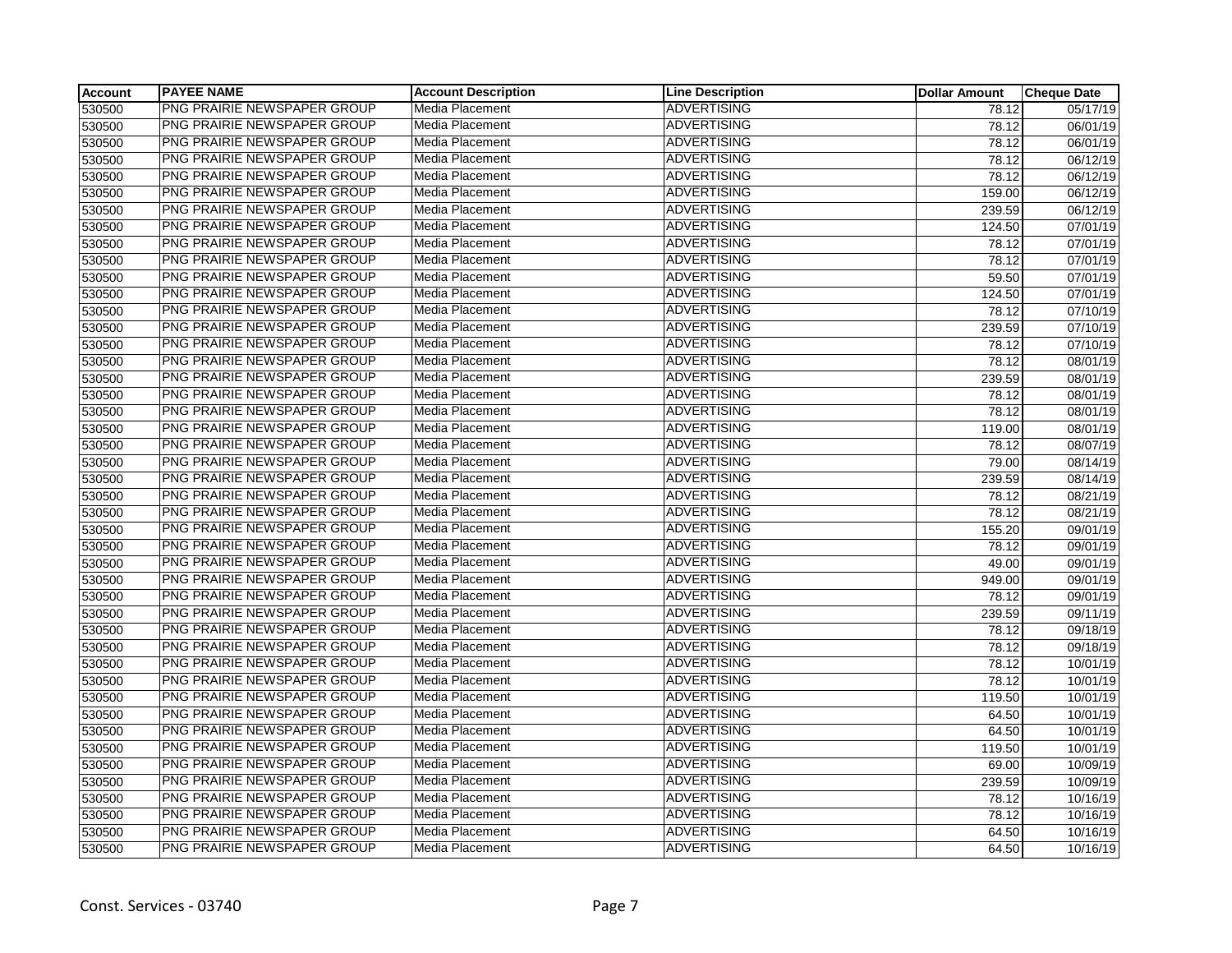| Account | <b>PAYEE NAME</b>                  | <b>Account Description</b> | <b>Line Description</b> | <b>Dollar Amount</b> | <b>Cheque Date</b> |
|---------|------------------------------------|----------------------------|-------------------------|----------------------|--------------------|
| 530500  | PNG PRAIRIE NEWSPAPER GROUP        | Media Placement            | <b>ADVERTISING</b>      | 78.12                | 05/17/19           |
| 530500  | PNG PRAIRIE NEWSPAPER GROUP        | Media Placement            | <b>ADVERTISING</b>      | 78.12                | 06/01/19           |
| 530500  | PNG PRAIRIE NEWSPAPER GROUP        | Media Placement            | <b>ADVERTISING</b>      | 78.12                | 06/01/19           |
| 530500  | PNG PRAIRIE NEWSPAPER GROUP        | Media Placement            | <b>ADVERTISING</b>      | 78.12                | 06/12/19           |
| 530500  | PNG PRAIRIE NEWSPAPER GROUP        | Media Placement            | <b>ADVERTISING</b>      | 78.12                | 06/12/19           |
| 530500  | PNG PRAIRIE NEWSPAPER GROUP        | Media Placement            | <b>ADVERTISING</b>      | 159.00               | 06/12/19           |
| 530500  | PNG PRAIRIE NEWSPAPER GROUP        | Media Placement            | <b>ADVERTISING</b>      | 239.59               | 06/12/19           |
| 530500  | PNG PRAIRIE NEWSPAPER GROUP        | Media Placement            | <b>ADVERTISING</b>      | 124.50               | 07/01/19           |
| 530500  | PNG PRAIRIE NEWSPAPER GROUP        | Media Placement            | <b>ADVERTISING</b>      | 78.12                | 07/01/19           |
| 530500  | PNG PRAIRIE NEWSPAPER GROUP        | Media Placement            | <b>ADVERTISING</b>      | 78.12                | 07/01/19           |
| 530500  | PNG PRAIRIE NEWSPAPER GROUP        | Media Placement            | <b>ADVERTISING</b>      | 59.50                | 07/01/19           |
| 530500  | PNG PRAIRIE NEWSPAPER GROUP        | Media Placement            | <b>ADVERTISING</b>      | 124.50               | 07/01/19           |
| 530500  | PNG PRAIRIE NEWSPAPER GROUP        | Media Placement            | <b>ADVERTISING</b>      | 78.12                | 07/10/19           |
| 530500  | PNG PRAIRIE NEWSPAPER GROUP        | Media Placement            | <b>ADVERTISING</b>      | 239.59               | 07/10/19           |
| 530500  | PNG PRAIRIE NEWSPAPER GROUP        | Media Placement            | <b>ADVERTISING</b>      | 78.12                | 07/10/19           |
| 530500  | PNG PRAIRIE NEWSPAPER GROUP        | Media Placement            | <b>ADVERTISING</b>      | 78.12                | 08/01/19           |
| 530500  | PNG PRAIRIE NEWSPAPER GROUP        | Media Placement            | <b>ADVERTISING</b>      | 239.59               | 08/01/19           |
| 530500  | PNG PRAIRIE NEWSPAPER GROUP        | Media Placement            | <b>ADVERTISING</b>      | 78.12                | 08/01/19           |
| 530500  | PNG PRAIRIE NEWSPAPER GROUP        | Media Placement            | <b>ADVERTISING</b>      | 78.12                | 08/01/19           |
| 530500  | PNG PRAIRIE NEWSPAPER GROUP        | Media Placement            | <b>ADVERTISING</b>      | 119.00               | 08/01/19           |
| 530500  | <b>PNG PRAIRIE NEWSPAPER GROUP</b> | Media Placement            | <b>ADVERTISING</b>      | 78.12                | 08/07/19           |
| 530500  | PNG PRAIRIE NEWSPAPER GROUP        | Media Placement            | <b>ADVERTISING</b>      | 79.00                | 08/14/19           |
| 530500  | PNG PRAIRIE NEWSPAPER GROUP        | Media Placement            | <b>ADVERTISING</b>      | 239.59               | 08/14/19           |
| 530500  | PNG PRAIRIE NEWSPAPER GROUP        | Media Placement            | <b>ADVERTISING</b>      | 78.12                | 08/21/19           |
| 530500  | PNG PRAIRIE NEWSPAPER GROUP        | Media Placement            | <b>ADVERTISING</b>      | 78.12                | 08/21/19           |
| 530500  | PNG PRAIRIE NEWSPAPER GROUP        | Media Placement            | <b>ADVERTISING</b>      | 155.20               | 09/01/19           |
| 530500  | PNG PRAIRIE NEWSPAPER GROUP        | Media Placement            | <b>ADVERTISING</b>      | 78.12                | 09/01/19           |
| 530500  | PNG PRAIRIE NEWSPAPER GROUP        | Media Placement            | <b>ADVERTISING</b>      | 49.00                | 09/01/19           |
| 530500  | PNG PRAIRIE NEWSPAPER GROUP        | Media Placement            | <b>ADVERTISING</b>      | 949.00               | 09/01/19           |
| 530500  | PNG PRAIRIE NEWSPAPER GROUP        | Media Placement            | <b>ADVERTISING</b>      | 78.12                | 09/01/19           |
| 530500  | PNG PRAIRIE NEWSPAPER GROUP        | Media Placement            | <b>ADVERTISING</b>      | 239.59               | 09/11/19           |
| 530500  | PNG PRAIRIE NEWSPAPER GROUP        | Media Placement            | <b>ADVERTISING</b>      | 78.12                | 09/18/19           |
| 530500  | PNG PRAIRIE NEWSPAPER GROUP        | Media Placement            | <b>ADVERTISING</b>      | 78.12                | 09/18/19           |
| 530500  | PNG PRAIRIE NEWSPAPER GROUP        | Media Placement            | <b>ADVERTISING</b>      | 78.12                | 10/01/19           |
| 530500  | PNG PRAIRIE NEWSPAPER GROUP        | Media Placement            | <b>ADVERTISING</b>      | 78.12                | 10/01/19           |
| 530500  | PNG PRAIRIE NEWSPAPER GROUP        | Media Placement            | <b>ADVERTISING</b>      | 119.50               | 10/01/19           |
| 530500  | PNG PRAIRIE NEWSPAPER GROUP        | Media Placement            | <b>ADVERTISING</b>      | 64.50                | 10/01/19           |
| 530500  | PNG PRAIRIE NEWSPAPER GROUP        | Media Placement            | <b>ADVERTISING</b>      | 64.50                | 10/01/19           |
| 530500  | PNG PRAIRIE NEWSPAPER GROUP        | Media Placement            | <b>ADVERTISING</b>      | 119.50               | 10/01/19           |
| 530500  | PNG PRAIRIE NEWSPAPER GROUP        | Media Placement            | <b>ADVERTISING</b>      | 69.00                | 10/09/19           |
| 530500  | PNG PRAIRIE NEWSPAPER GROUP        | Media Placement            | <b>ADVERTISING</b>      | 239.59               | 10/09/19           |
| 530500  | PNG PRAIRIE NEWSPAPER GROUP        | Media Placement            | <b>ADVERTISING</b>      | 78.12                | 10/16/19           |
| 530500  | PNG PRAIRIE NEWSPAPER GROUP        | Media Placement            | <b>ADVERTISING</b>      | 78.12                | 10/16/19           |
| 530500  | PNG PRAIRIE NEWSPAPER GROUP        | Media Placement            | <b>ADVERTISING</b>      | 64.50                | 10/16/19           |
| 530500  | PNG PRAIRIE NEWSPAPER GROUP        | Media Placement            | <b>ADVERTISING</b>      | 64.50                | 10/16/19           |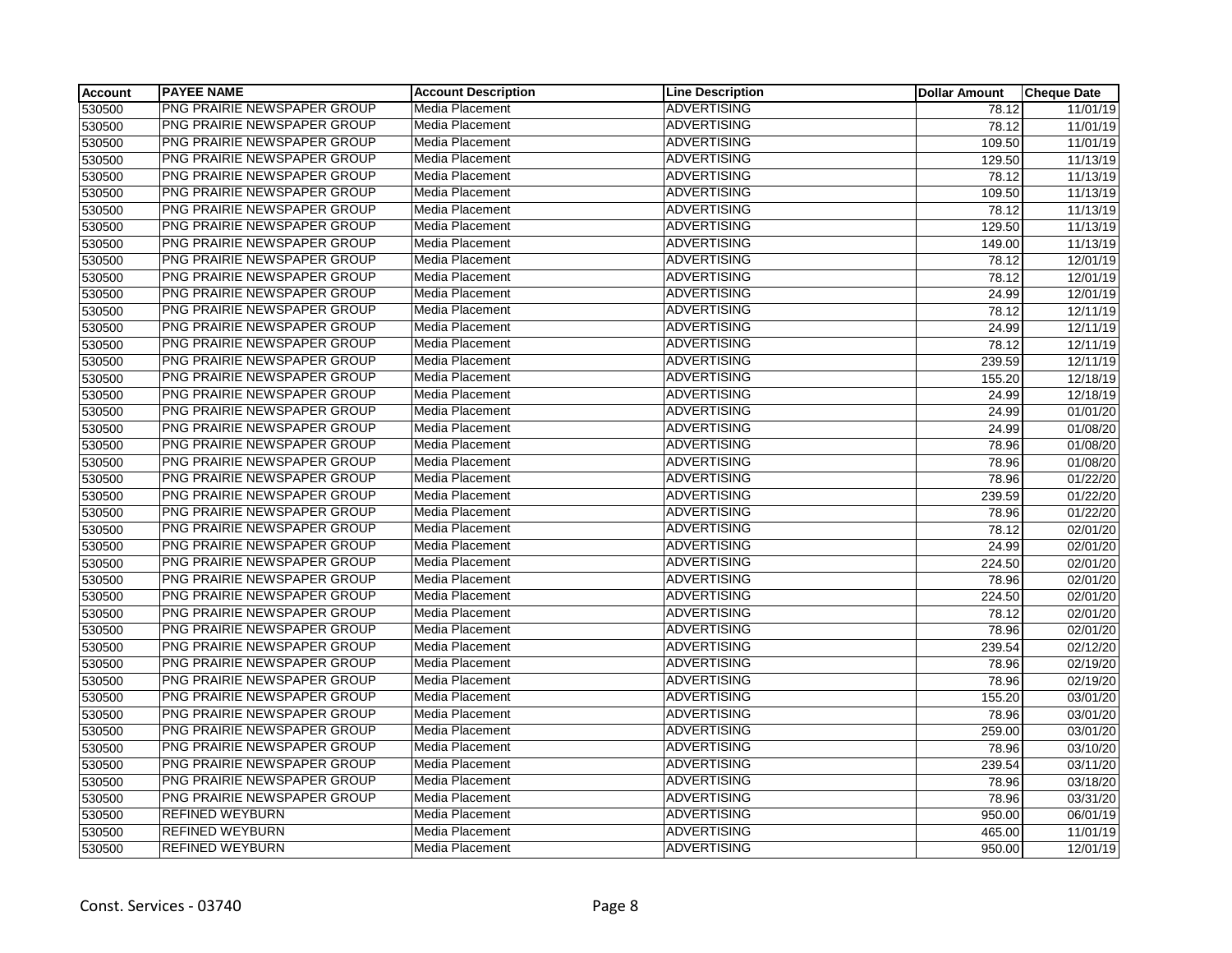| <b>Account</b> | <b>PAYEE NAME</b>           | <b>Account Description</b> | <b>Line Description</b> | <b>Dollar Amount</b> | <b>Cheque Date</b> |
|----------------|-----------------------------|----------------------------|-------------------------|----------------------|--------------------|
| 530500         | PNG PRAIRIE NEWSPAPER GROUP | Media Placement            | <b>ADVERTISING</b>      | 78.12                | 11/01/19           |
| 530500         | PNG PRAIRIE NEWSPAPER GROUP | Media Placement            | <b>ADVERTISING</b>      | 78.12                | 11/01/19           |
| 530500         | PNG PRAIRIE NEWSPAPER GROUP | Media Placement            | <b>ADVERTISING</b>      | 109.50               | 11/01/19           |
| 530500         | PNG PRAIRIE NEWSPAPER GROUP | Media Placement            | <b>ADVERTISING</b>      | 129.50               | 11/13/19           |
| 530500         | PNG PRAIRIE NEWSPAPER GROUP | Media Placement            | <b>ADVERTISING</b>      | 78.12                | 11/13/19           |
| 530500         | PNG PRAIRIE NEWSPAPER GROUP | Media Placement            | <b>ADVERTISING</b>      | 109.50               | 11/13/19           |
| 530500         | PNG PRAIRIE NEWSPAPER GROUP | Media Placement            | <b>ADVERTISING</b>      | 78.12                | 11/13/19           |
| 530500         | PNG PRAIRIE NEWSPAPER GROUP | Media Placement            | <b>ADVERTISING</b>      | 129.50               | 11/13/19           |
| 530500         | PNG PRAIRIE NEWSPAPER GROUP | Media Placement            | <b>ADVERTISING</b>      | 149.00               | 11/13/19           |
| 530500         | PNG PRAIRIE NEWSPAPER GROUP | Media Placement            | <b>ADVERTISING</b>      | 78.12                | 12/01/19           |
| 530500         | PNG PRAIRIE NEWSPAPER GROUP | Media Placement            | <b>ADVERTISING</b>      | 78.12                | 12/01/19           |
| 530500         | PNG PRAIRIE NEWSPAPER GROUP | Media Placement            | <b>ADVERTISING</b>      | 24.99                | 12/01/19           |
| 530500         | PNG PRAIRIE NEWSPAPER GROUP | Media Placement            | <b>ADVERTISING</b>      | 78.12                | 12/11/19           |
| 530500         | PNG PRAIRIE NEWSPAPER GROUP | Media Placement            | <b>ADVERTISING</b>      | 24.99                | 12/11/19           |
| 530500         | PNG PRAIRIE NEWSPAPER GROUP | Media Placement            | <b>ADVERTISING</b>      | 78.12                | 12/11/19           |
| 530500         | PNG PRAIRIE NEWSPAPER GROUP | Media Placement            | <b>ADVERTISING</b>      | 239.59               | 12/11/19           |
| 530500         | PNG PRAIRIE NEWSPAPER GROUP | Media Placement            | <b>ADVERTISING</b>      | 155.20               | 12/18/19           |
| 530500         | PNG PRAIRIE NEWSPAPER GROUP | Media Placement            | <b>ADVERTISING</b>      | 24.99                | 12/18/19           |
| 530500         | PNG PRAIRIE NEWSPAPER GROUP | Media Placement            | <b>ADVERTISING</b>      | 24.99                | 01/01/20           |
| 530500         | PNG PRAIRIE NEWSPAPER GROUP | Media Placement            | <b>ADVERTISING</b>      | 24.99                | 01/08/20           |
| 530500         | PNG PRAIRIE NEWSPAPER GROUP | Media Placement            | <b>ADVERTISING</b>      | 78.96                | 01/08/20           |
| 530500         | PNG PRAIRIE NEWSPAPER GROUP | Media Placement            | <b>ADVERTISING</b>      | 78.96                | 01/08/20           |
| 530500         | PNG PRAIRIE NEWSPAPER GROUP | Media Placement            | <b>ADVERTISING</b>      | 78.96                | 01/22/20           |
| 530500         | PNG PRAIRIE NEWSPAPER GROUP | Media Placement            | <b>ADVERTISING</b>      | 239.59               | 01/22/20           |
| 530500         | PNG PRAIRIE NEWSPAPER GROUP | Media Placement            | <b>ADVERTISING</b>      | 78.96                | 01/22/20           |
| 530500         | PNG PRAIRIE NEWSPAPER GROUP | Media Placement            | <b>ADVERTISING</b>      | 78.12                | 02/01/20           |
| 530500         | PNG PRAIRIE NEWSPAPER GROUP | Media Placement            | <b>ADVERTISING</b>      | 24.99                | 02/01/20           |
| 530500         | PNG PRAIRIE NEWSPAPER GROUP | Media Placement            | <b>ADVERTISING</b>      | 224.50               | 02/01/20           |
| 530500         | PNG PRAIRIE NEWSPAPER GROUP | Media Placement            | <b>ADVERTISING</b>      | 78.96                | 02/01/20           |
| 530500         | PNG PRAIRIE NEWSPAPER GROUP | Media Placement            | <b>ADVERTISING</b>      | 224.50               | 02/01/20           |
| 530500         | PNG PRAIRIE NEWSPAPER GROUP | Media Placement            | <b>ADVERTISING</b>      | 78.12                | 02/01/20           |
| 530500         | PNG PRAIRIE NEWSPAPER GROUP | Media Placement            | <b>ADVERTISING</b>      | 78.96                | 02/01/20           |
| 530500         | PNG PRAIRIE NEWSPAPER GROUP | Media Placement            | <b>ADVERTISING</b>      | 239.54               | 02/12/20           |
| 530500         | PNG PRAIRIE NEWSPAPER GROUP | Media Placement            | <b>ADVERTISING</b>      | 78.96                | 02/19/20           |
| 530500         | PNG PRAIRIE NEWSPAPER GROUP | Media Placement            | <b>ADVERTISING</b>      | 78.96                | 02/19/20           |
| 530500         | PNG PRAIRIE NEWSPAPER GROUP | Media Placement            | <b>ADVERTISING</b>      | 155.20               | 03/01/20           |
| 530500         | PNG PRAIRIE NEWSPAPER GROUP | Media Placement            | <b>ADVERTISING</b>      | 78.96                | 03/01/20           |
| 530500         | PNG PRAIRIE NEWSPAPER GROUP | Media Placement            | <b>ADVERTISING</b>      | 259.00               | 03/01/20           |
| 530500         | PNG PRAIRIE NEWSPAPER GROUP | Media Placement            | <b>ADVERTISING</b>      | 78.96                | 03/10/20           |
| 530500         | PNG PRAIRIE NEWSPAPER GROUP | Media Placement            | <b>ADVERTISING</b>      | 239.54               | 03/11/20           |
| 530500         | PNG PRAIRIE NEWSPAPER GROUP | Media Placement            | <b>ADVERTISING</b>      | 78.96                | 03/18/20           |
| 530500         | PNG PRAIRIE NEWSPAPER GROUP | Media Placement            | <b>ADVERTISING</b>      | 78.96                | 03/31/20           |
| 530500         | <b>REFINED WEYBURN</b>      | Media Placement            | <b>ADVERTISING</b>      | 950.00               | 06/01/19           |
| 530500         | <b>REFINED WEYBURN</b>      | Media Placement            | <b>ADVERTISING</b>      | 465.00               | 11/01/19           |
| 530500         | <b>REFINED WEYBURN</b>      | Media Placement            | <b>ADVERTISING</b>      | 950.00               | 12/01/19           |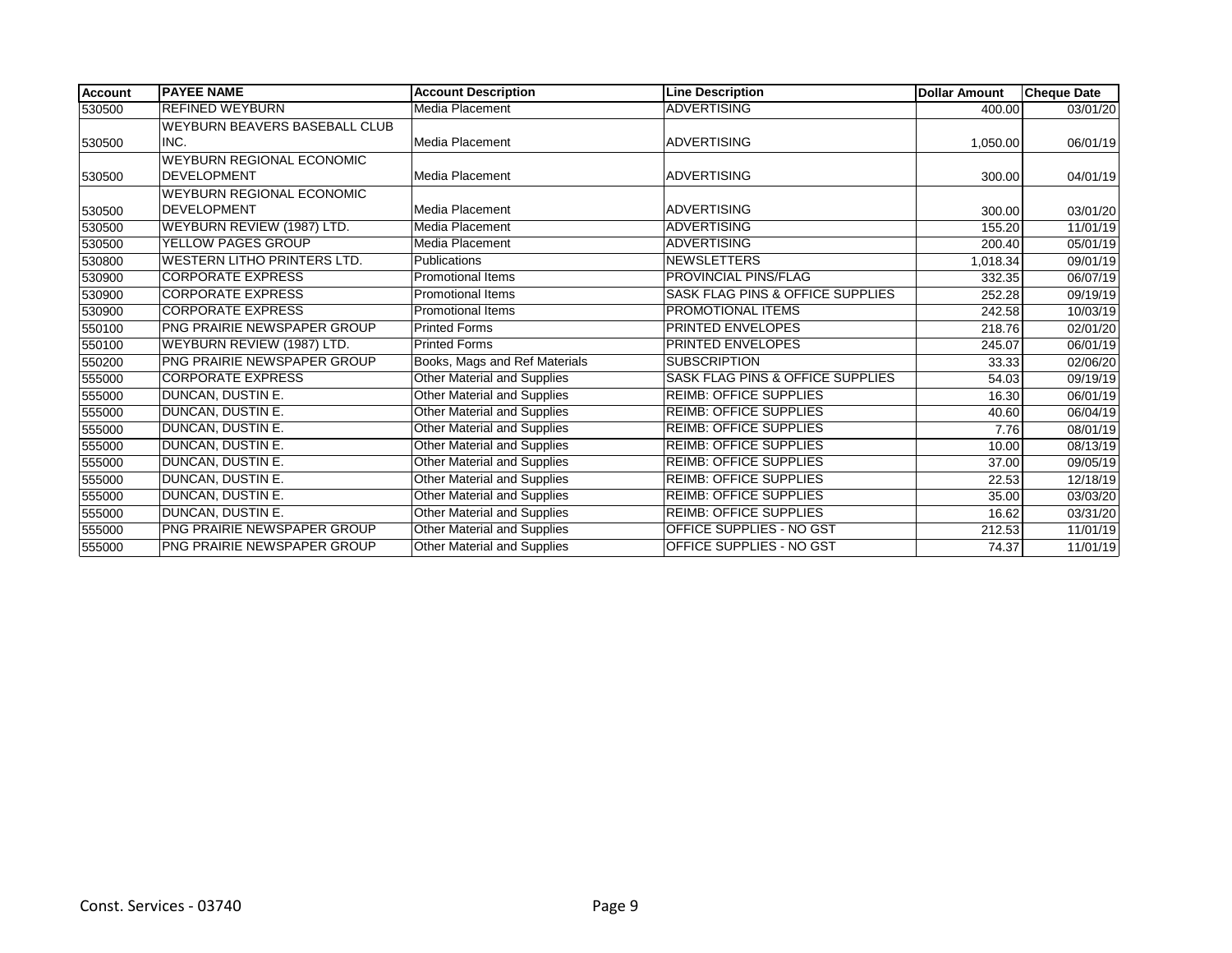| <b>Account</b> | <b>PAYEE NAME</b>                    | <b>Account Description</b>         | <b>Line Description</b>                     | <b>Dollar Amount</b> | <b>Cheque Date</b> |
|----------------|--------------------------------------|------------------------------------|---------------------------------------------|----------------------|--------------------|
| 530500         | <b>REFINED WEYBURN</b>               | Media Placement                    | <b>ADVERTISING</b>                          | 400.00               | 03/01/20           |
|                | <b>WEYBURN BEAVERS BASEBALL CLUB</b> |                                    |                                             |                      |                    |
| 530500         | INC.                                 | Media Placement                    | <b>ADVERTISING</b>                          | 1,050.00             | 06/01/19           |
|                | <b>WEYBURN REGIONAL ECONOMIC</b>     |                                    |                                             |                      |                    |
| 530500         | <b>DEVELOPMENT</b>                   | Media Placement                    | <b>ADVERTISING</b>                          | 300.00               | 04/01/19           |
|                | <b>WEYBURN REGIONAL ECONOMIC</b>     |                                    |                                             |                      |                    |
| 530500         | <b>DEVELOPMENT</b>                   | Media Placement                    | <b>ADVERTISING</b>                          | 300.00               | 03/01/20           |
| 530500         | WEYBURN REVIEW (1987) LTD.           | Media Placement                    | <b>ADVERTISING</b>                          | 155.20               | 11/01/19           |
| 530500         | YELLOW PAGES GROUP                   | Media Placement                    | <b>ADVERTISING</b>                          | 200.40               | 05/01/19           |
| 530800         | WESTERN LITHO PRINTERS LTD.          | <b>Publications</b>                | <b>NEWSLETTERS</b>                          | 1,018.34             | 09/01/19           |
| 530900         | <b>CORPORATE EXPRESS</b>             | <b>Promotional Items</b>           | PROVINCIAL PINS/FLAG                        | 332.35               | 06/07/19           |
| 530900         | <b>CORPORATE EXPRESS</b>             | <b>Promotional Items</b>           | SASK FLAG PINS & OFFICE SUPPLIES            | 252.28               | 09/19/19           |
| 530900         | <b>CORPORATE EXPRESS</b>             | Promotional Items                  | PROMOTIONAL ITEMS                           | 242.58               | 10/03/19           |
| 550100         | PNG PRAIRIE NEWSPAPER GROUP          | <b>Printed Forms</b>               | PRINTED ENVELOPES                           | 218.76               | 02/01/20           |
| 550100         | WEYBURN REVIEW (1987) LTD.           | <b>Printed Forms</b>               | PRINTED ENVELOPES                           | 245.07               | 06/01/19           |
| 550200         | <b>PNG PRAIRIE NEWSPAPER GROUP</b>   | Books, Mags and Ref Materials      | <b>SUBSCRIPTION</b>                         | 33.33                | 02/06/20           |
| 555000         | <b>CORPORATE EXPRESS</b>             | <b>Other Material and Supplies</b> | <b>SASK FLAG PINS &amp; OFFICE SUPPLIES</b> | 54.03                | 09/19/19           |
| 555000         | DUNCAN, DUSTIN E.                    | Other Material and Supplies        | <b>REIMB: OFFICE SUPPLIES</b>               | 16.30                | 06/01/19           |
| 555000         | DUNCAN, DUSTIN E.                    | Other Material and Supplies        | <b>REIMB: OFFICE SUPPLIES</b>               | 40.60                | 06/04/19           |
| 555000         | DUNCAN, DUSTIN E.                    | Other Material and Supplies        | <b>REIMB: OFFICE SUPPLIES</b>               | 7.76                 | 08/01/19           |
| 555000         | DUNCAN, DUSTIN E.                    | Other Material and Supplies        | <b>REIMB: OFFICE SUPPLIES</b>               | 10.00                | 08/13/19           |
| 555000         | <b>DUNCAN, DUSTIN E.</b>             | <b>Other Material and Supplies</b> | <b>REIMB: OFFICE SUPPLIES</b>               | 37.00                | 09/05/19           |
| 555000         | <b>DUNCAN, DUSTIN E.</b>             | <b>Other Material and Supplies</b> | <b>REIMB: OFFICE SUPPLIES</b>               | 22.53                | 12/18/19           |
| 555000         | <b>DUNCAN, DUSTIN E.</b>             | Other Material and Supplies        | <b>REIMB: OFFICE SUPPLIES</b>               | 35.00                | 03/03/20           |
| 555000         | DUNCAN, DUSTIN E.                    | Other Material and Supplies        | <b>REIMB: OFFICE SUPPLIES</b>               | 16.62                | 03/31/20           |
| 555000         | <b>PNG PRAIRIE NEWSPAPER GROUP</b>   | Other Material and Supplies        | OFFICE SUPPLIES - NO GST                    | 212.53               | 11/01/19           |
| 555000         | <b>PNG PRAIRIE NEWSPAPER GROUP</b>   | Other Material and Supplies        | OFFICE SUPPLIES - NO GST                    | 74.37                | 11/01/19           |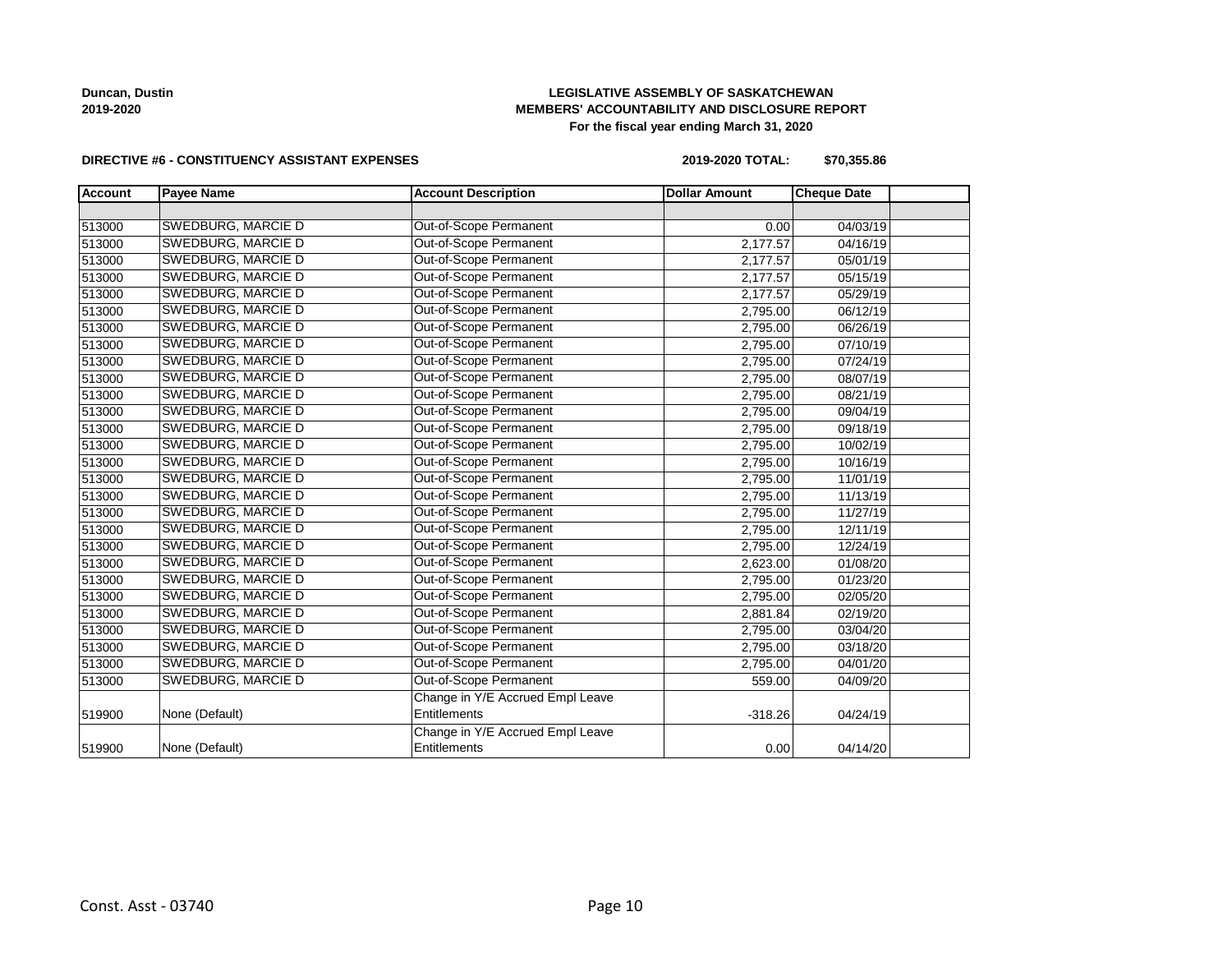**Duncan, Dustin 2019-2020**

### **LEGISLATIVE ASSEMBLY OF SASKATCHEWAN MEMBERS' ACCOUNTABILITY AND DISCLOSURE REPORT For the fiscal year ending March 31, 2020**

### **DIRECTIVE #6 - CONSTITUENCY ASSISTANT EXPENSES**

**2019-2020 TOTAL: \$70,355.86**

| <b>Account</b> | <b>Payee Name</b>         | <b>Account Description</b>       | <b>Dollar Amount</b> | <b>Cheque Date</b> |  |
|----------------|---------------------------|----------------------------------|----------------------|--------------------|--|
|                |                           |                                  |                      |                    |  |
| 513000         | SWEDBURG, MARCIE D        | Out-of-Scope Permanent           | 0.00                 | 04/03/19           |  |
| 513000         | SWEDBURG, MARCIE D        | Out-of-Scope Permanent           | 2,177.57             | 04/16/19           |  |
| 513000         | SWEDBURG, MARCIE D        | Out-of-Scope Permanent           | 2,177.57             | 05/01/19           |  |
| 513000         | SWEDBURG, MARCIE D        | Out-of-Scope Permanent           | 2,177.57             | 05/15/19           |  |
| 513000         | SWEDBURG, MARCIE D        | Out-of-Scope Permanent           | 2,177.57             | 05/29/19           |  |
| 513000         | <b>SWEDBURG, MARCIE D</b> | Out-of-Scope Permanent           | 2,795.00             | 06/12/19           |  |
| 513000         | SWEDBURG, MARCIE D        | Out-of-Scope Permanent           | 2,795.00             | 06/26/19           |  |
| 513000         | SWEDBURG, MARCIE D        | Out-of-Scope Permanent           | 2,795.00             | 07/10/19           |  |
| 513000         | SWEDBURG, MARCIE D        | Out-of-Scope Permanent           | 2,795.00             | 07/24/19           |  |
| 513000         | SWEDBURG, MARCIE D        | Out-of-Scope Permanent           | 2,795.00             | 08/07/19           |  |
| 513000         | <b>SWEDBURG, MARCIE D</b> | Out-of-Scope Permanent           | 2,795.00             | 08/21/19           |  |
| 513000         | <b>SWEDBURG, MARCIE D</b> | Out-of-Scope Permanent           | 2,795.00             | 09/04/19           |  |
| 513000         | SWEDBURG, MARCIE D        | Out-of-Scope Permanent           | 2,795.00             | 09/18/19           |  |
| 513000         | SWEDBURG, MARCIE D        | Out-of-Scope Permanent           | 2,795.00             | 10/02/19           |  |
| 513000         | SWEDBURG, MARCIE D        | Out-of-Scope Permanent           | 2,795.00             | 10/16/19           |  |
| 513000         | <b>SWEDBURG, MARCIE D</b> | Out-of-Scope Permanent           | 2,795.00             | 11/01/19           |  |
| 513000         | <b>SWEDBURG, MARCIE D</b> | Out-of-Scope Permanent           | 2,795.00             | 11/13/19           |  |
| 513000         | SWEDBURG, MARCIE D        | Out-of-Scope Permanent           | 2,795.00             | 11/27/19           |  |
| 513000         | SWEDBURG, MARCIE D        | Out-of-Scope Permanent           | 2,795.00             | 12/11/19           |  |
| 513000         | SWEDBURG, MARCIE D        | Out-of-Scope Permanent           | 2,795.00             | 12/24/19           |  |
| 513000         | SWEDBURG, MARCIE D        | Out-of-Scope Permanent           | 2,623.00             | 01/08/20           |  |
| 513000         | SWEDBURG, MARCIE D        | Out-of-Scope Permanent           | 2,795.00             | 01/23/20           |  |
| 513000         | SWEDBURG, MARCIE D        | Out-of-Scope Permanent           | 2,795.00             | 02/05/20           |  |
| 513000         | SWEDBURG, MARCIE D        | Out-of-Scope Permanent           | 2,881.84             | 02/19/20           |  |
| 513000         | SWEDBURG, MARCIE D        | Out-of-Scope Permanent           | 2,795.00             | 03/04/20           |  |
| 513000         | SWEDBURG, MARCIE D        | Out-of-Scope Permanent           | 2,795.00             | 03/18/20           |  |
| 513000         | <b>SWEDBURG, MARCIE D</b> | Out-of-Scope Permanent           | 2,795.00             | 04/01/20           |  |
| 513000         | SWEDBURG, MARCIE D        | Out-of-Scope Permanent           | 559.00               | 04/09/20           |  |
|                |                           | Change in Y/E Accrued Empl Leave |                      |                    |  |
| 519900         | None (Default)            | Entitlements                     | $-318.26$            | 04/24/19           |  |
|                |                           | Change in Y/E Accrued Empl Leave |                      |                    |  |
| 519900         | None (Default)            | Entitlements                     | 0.00                 | 04/14/20           |  |